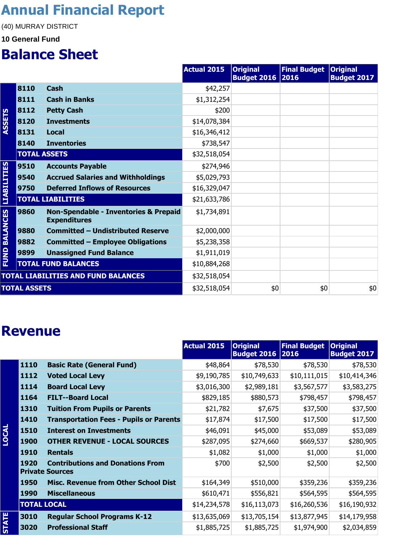## **Annual Financial Report**

(40) MURRAY DISTRICT

#### **10 General Fund**

#### **Balance Sheet**

|                      |                     |                                                              | <b>Actual 2015</b> | <b>Original</b><br><b>Budget 2016 2016</b> | Final Budget   Original | <b>Budget 2017</b> |
|----------------------|---------------------|--------------------------------------------------------------|--------------------|--------------------------------------------|-------------------------|--------------------|
|                      | 8110                | <b>Cash</b>                                                  | \$42,257           |                                            |                         |                    |
|                      | 8111                | <b>Cash in Banks</b>                                         | \$1,312,254        |                                            |                         |                    |
|                      | 8112                | <b>Petty Cash</b>                                            | \$200              |                                            |                         |                    |
| <b>ASSETS</b>        | 8120                | <b>Investments</b>                                           | \$14,078,384       |                                            |                         |                    |
|                      | 8131                | Local                                                        | \$16,346,412       |                                            |                         |                    |
|                      | 8140                | <b>Inventories</b>                                           | \$738,547          |                                            |                         |                    |
|                      | <b>TOTAL ASSETS</b> |                                                              | \$32,518,054       |                                            |                         |                    |
|                      | 9510                | <b>Accounts Payable</b>                                      | \$274,946          |                                            |                         |                    |
|                      | 9540                | <b>Accrued Salaries and Withholdings</b>                     | \$5,029,793        |                                            |                         |                    |
| <b>LIABILITIES</b>   | 9750                | <b>Deferred Inflows of Resources</b>                         | \$16,329,047       |                                            |                         |                    |
|                      |                     | <b>TOTAL LIABILITIES</b>                                     | \$21,633,786       |                                            |                         |                    |
| <b>FUND BALANCES</b> | 9860                | Non-Spendable - Inventories & Prepaid<br><b>Expenditures</b> | \$1,734,891        |                                            |                         |                    |
|                      | 9880                | <b>Committed - Undistributed Reserve</b>                     | \$2,000,000        |                                            |                         |                    |
|                      | 9882                | <b>Committed - Employee Obligations</b>                      | \$5,238,358        |                                            |                         |                    |
|                      | 9899                | <b>Unassigned Fund Balance</b>                               | \$1,911,019        |                                            |                         |                    |
|                      |                     | <b>TOTAL FUND BALANCES</b>                                   | \$10,884,268       |                                            |                         |                    |
|                      |                     | <b>TOTAL LIABILITIES AND FUND BALANCES</b>                   | \$32,518,054       |                                            |                         |                    |
| <b>TOTAL ASSETS</b>  |                     | \$32,518,054                                                 | \$0                | \$0                                        | \$0                     |                    |

#### **Revenue**

|              |                    |                                                                   | <b>Actual 2015</b> | <b>Original</b><br><b>Budget 2016 2016</b> | <b>Final Budget</b> | <b>Original</b><br><b>Budget 2017</b> |
|--------------|--------------------|-------------------------------------------------------------------|--------------------|--------------------------------------------|---------------------|---------------------------------------|
|              | 1110               | <b>Basic Rate (General Fund)</b>                                  | \$48,864           | \$78,530                                   | \$78,530            | \$78,530                              |
|              | 1112               | <b>Voted Local Levy</b>                                           | \$9,190,785        | \$10,749,633                               | \$10,111,015        | \$10,414,346                          |
|              | 1114               | <b>Board Local Levy</b>                                           | \$3,016,300        | \$2,989,181                                | \$3,567,577         | \$3,583,275                           |
|              | 1164               | <b>FILT--Board Local</b>                                          | \$829,185          | \$880,573                                  | \$798,457           | \$798,457                             |
|              | 1310               | <b>Tuition From Pupils or Parents</b>                             | \$21,782           | \$7,675                                    | \$37,500            | \$37,500                              |
|              | 1410               | <b>Transportation Fees - Pupils or Parents</b>                    | \$17,874           | \$17,500                                   | \$17,500            | \$17,500                              |
| LOCAL        | 1510               | <b>Interest on Investments</b>                                    | \$46,091           | \$45,000                                   | \$53,089            | \$53,089                              |
|              | <b>1900</b>        | <b>OTHER REVENUE - LOCAL SOURCES</b>                              | \$287,095          | \$274,660                                  | \$669,537           | \$280,905                             |
|              | 1910               | <b>Rentals</b>                                                    | \$1,082            | \$1,000                                    | \$1,000             | \$1,000                               |
|              | 1920               | <b>Contributions and Donations From</b><br><b>Private Sources</b> | \$700              | \$2,500                                    | \$2,500             | \$2,500                               |
|              | 1950               | <b>Misc. Revenue from Other School Dist</b>                       | \$164,349          | \$510,000                                  | \$359,236           | \$359,236                             |
|              | <b>1990</b>        | <b>Miscellaneous</b>                                              | \$610,471          | \$556,821                                  | \$564,595           | \$564,595                             |
|              | <b>TOTAL LOCAL</b> |                                                                   | \$14,234,578       | \$16, 113, 073                             | \$16,260,536        | \$16,190,932                          |
|              | 3010               | <b>Regular School Programs K-12</b>                               | \$13,635,069       | \$13,705,154                               | \$13,877,945        | \$14,179,958                          |
| <b>STATE</b> | 3020               | <b>Professional Staff</b>                                         | \$1,885,725        | \$1,885,725                                | \$1,974,900         | \$2,034,859                           |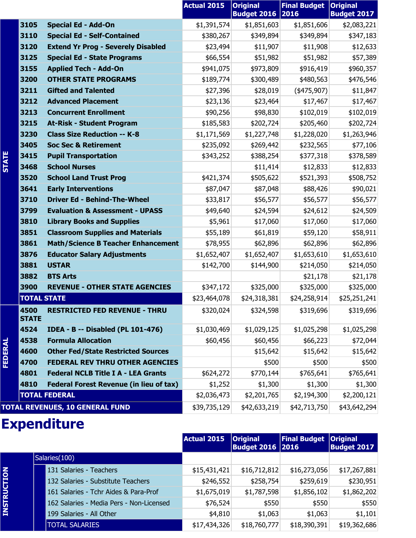|              |                      |                                                | <b>Actual 2015</b> | <b>Original</b><br><b>Budget 2016</b> | <b>Final Budget</b><br> 2016 | <b>Original</b><br><b>Budget 2017</b> |
|--------------|----------------------|------------------------------------------------|--------------------|---------------------------------------|------------------------------|---------------------------------------|
|              | 3105                 | <b>Special Ed - Add-On</b>                     | \$1,391,574        | \$1,851,603                           | \$1,851,606                  | \$2,083,221                           |
|              | 3110                 | <b>Special Ed - Self-Contained</b>             | \$380,267          | \$349,894                             | \$349,894                    | \$347,183                             |
|              | 3120                 | <b>Extend Yr Prog - Severely Disabled</b>      | \$23,494           | \$11,907                              | \$11,908                     | \$12,633                              |
|              | 3125                 | <b>Special Ed - State Programs</b>             | \$66,554           | \$51,982                              | \$51,982                     | \$57,389                              |
|              | 3155                 | <b>Applied Tech - Add-On</b>                   | \$941,075          | \$973,809                             | \$916,419                    | \$960,357                             |
|              | 3200                 | <b>OTHER STATE PROGRAMS</b>                    | \$189,774          | \$300,489                             | \$480,563                    | \$476,546                             |
|              | 3211                 | <b>Gifted and Talented</b>                     | \$27,396           | \$28,019                              | $(*475,907)$                 | \$11,847                              |
|              | 3212                 | <b>Advanced Placement</b>                      | \$23,136           | \$23,464                              | \$17,467                     | \$17,467                              |
|              | 3213                 | <b>Concurrent Enrollment</b>                   | \$90,256           | \$98,830                              | \$102,019                    | \$102,019                             |
|              | 3215                 | <b>At-Risk - Student Program</b>               | \$185,583          | \$202,724                             | \$205,460                    | \$202,724                             |
|              | 3230                 | <b>Class Size Reduction -- K-8</b>             | \$1,171,569        | \$1,227,748                           | \$1,228,020                  | \$1,263,946                           |
|              | 3405                 | <b>Soc Sec &amp; Retirement</b>                | \$235,092          | \$269,442                             | \$232,565                    | \$77,106                              |
| <b>STATE</b> | 3415                 | <b>Pupil Transportation</b>                    | \$343,252          | \$388,254                             | \$377,318                    | \$378,589                             |
|              | 3468                 | <b>School Nurses</b>                           |                    | \$11,414                              | \$12,833                     | \$12,833                              |
|              | 3520                 | <b>School Land Trust Prog</b>                  | \$421,374          | \$505,622                             | \$521,393                    | \$508,752                             |
|              | 3641                 | <b>Early Interventions</b>                     | \$87,047           | \$87,048                              | \$88,426                     | \$90,021                              |
|              | 3710                 | <b>Driver Ed - Behind-The-Wheel</b>            | \$33,817           | \$56,577                              | \$56,577                     | \$56,577                              |
|              | 3799                 | <b>Evaluation &amp; Assessment - UPASS</b>     | \$49,640           | \$24,594                              | \$24,612                     | \$24,509                              |
|              | 3810                 | <b>Library Books and Supplies</b>              | \$5,961            | \$17,060                              | \$17,060                     | \$17,060                              |
|              | 3851                 | <b>Classroom Supplies and Materials</b>        | \$55,189           | \$61,819                              | \$59,120                     | \$58,911                              |
|              | 3861                 | <b>Math/Science B Teacher Enhancement</b>      | \$78,955           | \$62,896                              | \$62,896                     | \$62,896                              |
|              | 3876                 | <b>Educator Salary Adjustments</b>             | \$1,652,407        | \$1,652,407                           | \$1,653,610                  | \$1,653,610                           |
|              | 3881                 | <b>USTAR</b>                                   | \$142,700          | \$144,900                             | \$214,050                    | \$214,050                             |
|              | 3882                 | <b>BTS Arts</b>                                |                    |                                       | \$21,178                     | \$21,178                              |
|              | 3900                 | <b>REVENUE - OTHER STATE AGENCIES</b>          | \$347,172          | \$325,000                             | \$325,000                    | \$325,000                             |
|              | <b>TOTAL STATE</b>   |                                                | \$23,464,078       | \$24,318,381                          | \$24,258,914                 | \$25,251,241                          |
|              | 4500<br><b>STATE</b> | <b>RESTRICTED FED REVENUE - THRU</b>           | \$320,024          | \$324,598                             | \$319,696                    | \$319,696                             |
|              | 4524                 | <b>IDEA - B -- Disabled (PL 101-476)</b>       | \$1,030,469        | \$1,029,125                           | \$1,025,298                  | \$1,025,298                           |
|              | 4538                 | <b>Formula Allocation</b>                      | \$60,456           | \$60,456                              | \$66,223                     | \$72,044                              |
|              | 4600                 | <b>Other Fed/State Restricted Sources</b>      |                    | \$15,642                              | \$15,642                     | \$15,642                              |
| FEDERAL      | 4700                 | <b>FEDERAL REV THRU OTHER AGENCIES</b>         |                    | \$500                                 | \$500                        | \$500                                 |
|              | 4801                 | <b>Federal NCLB Title I A - LEA Grants</b>     | \$624,272          | \$770,144                             | \$765,641                    | \$765,641                             |
|              | 4810                 | <b>Federal Forest Revenue (in lieu of tax)</b> | \$1,252            | \$1,300                               | \$1,300                      | \$1,300                               |
|              |                      | <b>TOTAL FEDERAL</b>                           | \$2,036,473        | \$2,201,765                           | \$2,194,300                  | \$2,200,121                           |
|              |                      | <b>TOTAL REVENUES, 10 GENERAL FUND</b>         | \$39,735,129       | \$42,633,219                          | \$42,713,750                 | \$43,642,294                          |

#### **Expenditure**

**INSTRUCTION**

|  |                                          | Actual 2015  | <b>Original</b><br><b>Budget 2016 2016</b> | Final Budget   Original | <b>Budget 2017</b> |
|--|------------------------------------------|--------------|--------------------------------------------|-------------------------|--------------------|
|  | Salaries (100)                           |              |                                            |                         |                    |
|  | 131 Salaries - Teachers                  | \$15,431,421 | \$16,712,812                               | \$16,273,056            | \$17,267,881       |
|  | 132 Salaries - Substitute Teachers       | \$246,552    | \$258,754                                  | \$259,619               | \$230,951          |
|  | 161 Salaries - Tchr Aides & Para-Prof    | \$1,675,019  | \$1,787,598                                | \$1,856,102             | \$1,862,202        |
|  | 162 Salaries - Media Pers - Non-Licensed | \$76,524     | \$550                                      | \$550                   | \$550              |
|  | 199 Salaries - All Other                 | \$4,810      | \$1,063                                    | \$1,063                 | \$1,101            |
|  | <b>TOTAL SALARIES</b>                    | \$17,434,326 | \$18,760,777                               | \$18,390,391            | \$19,362,686       |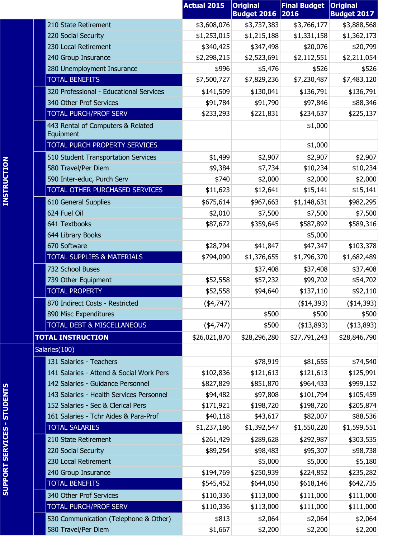|                                                | <b>Actual 2015</b> | <b>Original</b><br><b>Budget 2016</b> | <b>Final Budget</b><br>2016 | <b>Original</b><br><b>Budget 2017</b> |
|------------------------------------------------|--------------------|---------------------------------------|-----------------------------|---------------------------------------|
| 210 State Retirement                           | \$3,608,076        | \$3,737,383                           | \$3,766,177                 | \$3,888,568                           |
| 220 Social Security                            | \$1,253,015        | \$1,215,188                           | \$1,331,158                 | \$1,362,173                           |
| 230 Local Retirement                           | \$340,425          | \$347,498                             | \$20,076                    | \$20,799                              |
| 240 Group Insurance                            | \$2,298,215        | \$2,523,691                           | \$2,112,551                 | \$2,211,054                           |
| 280 Unemployment Insurance                     | \$996              | \$5,476                               | \$526                       | \$526                                 |
| <b>TOTAL BENEFITS</b>                          | \$7,500,727        | \$7,829,236                           | \$7,230,487                 | \$7,483,120                           |
| 320 Professional - Educational Services        | \$141,509          | \$130,041                             | \$136,791                   | \$136,791                             |
| 340 Other Prof Services                        | \$91,784           | \$91,790                              | \$97,846                    | \$88,346                              |
| <b>TOTAL PURCH/PROF SERV</b>                   | \$233,293          | \$221,831                             | \$234,637                   | \$225,137                             |
| 443 Rental of Computers & Related<br>Equipment |                    |                                       | \$1,000                     |                                       |
| TOTAL PURCH PROPERTY SERVICES                  |                    |                                       | \$1,000                     |                                       |
| 510 Student Transportation Services            | \$1,499            | \$2,907                               | \$2,907                     | \$2,907                               |
| 580 Travel/Per Diem                            | \$9,384            | \$7,734                               | \$10,234                    | \$10,234                              |
| 590 Inter-educ, Purch Serv                     | \$740              | \$2,000                               | \$2,000                     | \$2,000                               |
| TOTAL OTHER PURCHASED SERVICES                 | \$11,623           | \$12,641                              | \$15,141                    | \$15,141                              |
| 610 General Supplies                           | \$675,614          | \$967,663                             | \$1,148,631                 | \$982,295                             |
| 624 Fuel Oil                                   | \$2,010            | \$7,500                               | \$7,500                     | \$7,500                               |
| 641 Textbooks                                  | \$87,672           | \$359,645                             | \$587,892                   | \$589,316                             |
| 644 Library Books                              |                    |                                       | \$5,000                     |                                       |
| 670 Software                                   | \$28,794           | \$41,847                              | \$47,347                    | \$103,378                             |
| <b>TOTAL SUPPLIES &amp; MATERIALS</b>          | \$794,090          | \$1,376,655                           | \$1,796,370                 | \$1,682,489                           |
| 732 School Buses                               |                    | \$37,408                              | \$37,408                    | \$37,408                              |
| 739 Other Equipment                            | \$52,558           | \$57,232                              | \$99,702                    | \$54,702                              |
| <b>TOTAL PROPERTY</b>                          | \$52,558           | \$94,640                              | \$137,110                   | \$92,110                              |
| 870 Indirect Costs - Restricted                | $(*4,747)$         |                                       | (\$14,393)                  | ( \$14, 393)                          |
| 890 Misc Expenditures                          |                    | \$500                                 | \$500                       | \$500                                 |
| <b>TOTAL DEBT &amp; MISCELLANEOUS</b>          | (4,747)            | \$500                                 | ( \$13,893)                 | (\$13,893)                            |
| <b>TOTAL INSTRUCTION</b>                       | \$26,021,870       | \$28,296,280                          | \$27,791,243                | \$28,846,790                          |
| Salaries(100)                                  |                    |                                       |                             |                                       |
| 131 Salaries - Teachers                        |                    | \$78,919                              | \$81,655                    | \$74,540                              |
| 141 Salaries - Attend & Social Work Pers       | \$102,836          | \$121,613                             | \$121,613                   | \$125,991                             |
| 142 Salaries - Guidance Personnel              | \$827,829          | \$851,870                             | \$964,433                   | \$999,152                             |
| 143 Salaries - Health Services Personnel       | \$94,482           | \$97,808                              | \$101,794                   | \$105,459                             |
| 152 Salaries - Sec & Clerical Pers             | \$171,921          | \$198,720                             | \$198,720                   | \$205,874                             |
| 161 Salaries - Tchr Aides & Para-Prof          | \$40,118           | \$43,617                              | \$82,007                    | \$88,536                              |
| <b>TOTAL SALARIES</b>                          | \$1,237,186        | \$1,392,547                           | \$1,550,220                 | \$1,599,551                           |
| 210 State Retirement                           | \$261,429          | \$289,628                             | \$292,987                   | \$303,535                             |
| 220 Social Security                            | \$89,254           | \$98,483                              | \$95,307                    | \$98,738                              |
| 230 Local Retirement                           |                    | \$5,000                               | \$5,000                     | \$5,180                               |
| 240 Group Insurance                            | \$194,769          | \$250,939                             | \$224,852                   | \$235,282                             |
| <b>TOTAL BENEFITS</b>                          | \$545,452          | \$644,050                             | \$618,146                   | \$642,735                             |
| 340 Other Prof Services                        | \$110,336          | \$113,000                             | \$111,000                   | \$111,000                             |
| TOTAL PURCH/PROF SERV                          | \$110,336          | \$113,000                             | \$111,000                   | \$111,000                             |
| 530 Communication (Telephone & Other)          | \$813              | \$2,064                               | \$2,064                     | \$2,064                               |
| 580 Travel/Per Diem                            | \$1,667            | \$2,200                               | \$2,200                     | \$2,200                               |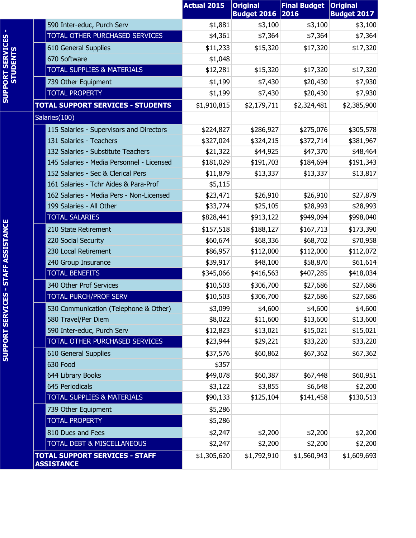|                                      |                                                            | <b>Actual 2015</b> | <b>Original</b><br><b>Budget 2016</b> | <b>Final Budget</b><br>2016 | <b>Original</b><br><b>Budget 2017</b> |
|--------------------------------------|------------------------------------------------------------|--------------------|---------------------------------------|-----------------------------|---------------------------------------|
|                                      | 590 Inter-educ, Purch Serv                                 | \$1,881            | \$3,100                               | \$3,100                     | \$3,100                               |
|                                      | TOTAL OTHER PURCHASED SERVICES                             | \$4,361            | \$7,364                               | \$7,364                     | \$7,364                               |
|                                      | 610 General Supplies                                       | \$11,233           | \$15,320                              | \$17,320                    | \$17,320                              |
| <b>SUPPORT SERVICES<br/>STUDENTS</b> | 670 Software                                               | \$1,048            |                                       |                             |                                       |
|                                      | <b>TOTAL SUPPLIES &amp; MATERIALS</b>                      | \$12,281           | \$15,320                              | \$17,320                    | \$17,320                              |
|                                      | 739 Other Equipment                                        | \$1,199            | \$7,430                               | \$20,430                    | \$7,930                               |
|                                      | <b>TOTAL PROPERTY</b>                                      | \$1,199            | \$7,430                               | \$20,430                    | \$7,930                               |
|                                      | <b>TOTAL SUPPORT SERVICES - STUDENTS</b>                   | \$1,910,815        | \$2,179,711                           | \$2,324,481                 | \$2,385,900                           |
|                                      | Salaries(100)                                              |                    |                                       |                             |                                       |
|                                      | 115 Salaries - Supervisors and Directors                   | \$224,827          | \$286,927                             | \$275,076                   | \$305,578                             |
|                                      | 131 Salaries - Teachers                                    | \$327,024          | \$324,215                             | \$372,714                   | \$381,967                             |
|                                      | 132 Salaries - Substitute Teachers                         | \$21,322           | \$44,925                              | \$47,370                    | \$48,464                              |
|                                      | 145 Salaries - Media Personnel - Licensed                  | \$181,029          | \$191,703                             | \$184,694                   | \$191,343                             |
|                                      | 152 Salaries - Sec & Clerical Pers                         | \$11,879           | \$13,337                              | \$13,337                    | \$13,817                              |
|                                      | 161 Salaries - Tchr Aides & Para-Prof                      | \$5,115            |                                       |                             |                                       |
|                                      | 162 Salaries - Media Pers - Non-Licensed                   | \$23,471           | \$26,910                              | \$26,910                    | \$27,879                              |
|                                      | 199 Salaries - All Other                                   | \$33,774           | \$25,105                              | \$28,993                    | \$28,993                              |
|                                      | <b>TOTAL SALARIES</b>                                      | \$828,441          | \$913,122                             | \$949,094                   | \$998,040                             |
|                                      | 210 State Retirement                                       | \$157,518          | \$188,127                             | \$167,713                   | \$173,390                             |
|                                      | 220 Social Security                                        | \$60,674           | \$68,336                              | \$68,702                    | \$70,958                              |
|                                      | 230 Local Retirement                                       | \$86,957           | \$112,000                             | \$112,000                   | \$112,072                             |
|                                      | 240 Group Insurance                                        | \$39,917           | \$48,100                              | \$58,870                    | \$61,614                              |
|                                      | <b>TOTAL BENEFITS</b>                                      | \$345,066          | \$416,563                             | \$407,285                   | \$418,034                             |
| <b>CES - STAFF ASSISTANCE</b>        | 340 Other Prof Services                                    | \$10,503           | \$306,700                             | \$27,686                    | \$27,686                              |
|                                      | <b>TOTAL PURCH/PROF SERV</b>                               | \$10,503           | \$306,700                             | \$27,686                    | \$27,686                              |
|                                      | 530 Communication (Telephone & Other)                      | \$3,099            | \$4,600                               | \$4,600                     | \$4,600                               |
|                                      | 580 Travel/Per Diem                                        | \$8,022            | \$11,600                              | \$13,600                    | \$13,600                              |
|                                      | 590 Inter-educ, Purch Serv                                 | \$12,823           | \$13,021                              | \$15,021                    | \$15,021                              |
| <b>SUPPORT SERVI</b>                 | TOTAL OTHER PURCHASED SERVICES                             | \$23,944           | \$29,221                              | \$33,220                    | \$33,220                              |
|                                      | 610 General Supplies                                       | \$37,576           | \$60,862                              | \$67,362                    | \$67,362                              |
|                                      | 630 Food                                                   | \$357              |                                       |                             |                                       |
|                                      | 644 Library Books                                          | \$49,078           | \$60,387                              | \$67,448                    | \$60,951                              |
|                                      | 645 Periodicals                                            | \$3,122            | \$3,855                               | \$6,648                     | \$2,200                               |
|                                      | <b>TOTAL SUPPLIES &amp; MATERIALS</b>                      | \$90,133           | \$125,104                             | \$141,458                   | \$130,513                             |
|                                      | 739 Other Equipment                                        | \$5,286            |                                       |                             |                                       |
|                                      | <b>TOTAL PROPERTY</b>                                      | \$5,286            |                                       |                             |                                       |
|                                      | 810 Dues and Fees                                          | \$2,247            | \$2,200                               | \$2,200                     | \$2,200                               |
|                                      | TOTAL DEBT & MISCELLANEOUS                                 | \$2,247            | \$2,200                               | \$2,200                     | \$2,200                               |
|                                      | <b>TOTAL SUPPORT SERVICES - STAFF</b><br><b>ASSISTANCE</b> | \$1,305,620        | \$1,792,910                           | \$1,560,943                 | \$1,609,693                           |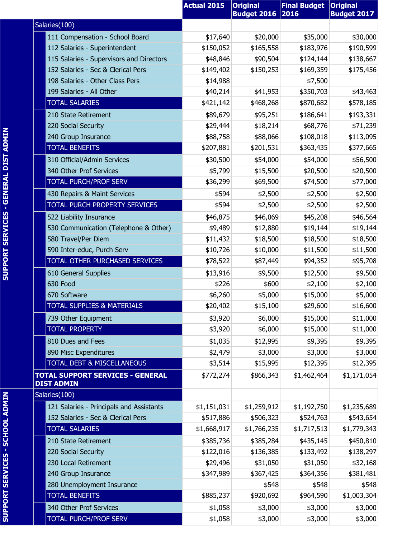|                                                              | <b>Actual 2015</b> | <b>Original</b><br><b>Budget 2016</b> | <b>Final Budget</b><br>2016 | <b>Original</b><br><b>Budget 2017</b> |
|--------------------------------------------------------------|--------------------|---------------------------------------|-----------------------------|---------------------------------------|
| Salaries(100)                                                |                    |                                       |                             |                                       |
| 111 Compensation - School Board                              | \$17,640           | \$20,000                              | \$35,000                    | \$30,000                              |
| 112 Salaries - Superintendent                                | \$150,052          | \$165,558                             | \$183,976                   | \$190,599                             |
| 115 Salaries - Supervisors and Directors                     | \$48,846           | \$90,504                              | \$124,144                   | \$138,667                             |
| 152 Salaries - Sec & Clerical Pers                           | \$149,402          | \$150,253                             | \$169,359                   | \$175,456                             |
| 198 Salaries - Other Class Pers                              | \$14,988           |                                       | \$7,500                     |                                       |
| 199 Salaries - All Other                                     | \$40,214           | \$41,953                              | \$350,703                   | \$43,463                              |
| <b>TOTAL SALARIES</b>                                        | \$421,142          | \$468,268                             | \$870,682                   | \$578,185                             |
| 210 State Retirement                                         | \$89,679           | \$95,251                              | \$186,641                   | \$193,331                             |
| 220 Social Security                                          | \$29,444           | \$18,214                              | \$68,776                    | \$71,239                              |
| 240 Group Insurance                                          | \$88,758           | \$88,066                              | \$108,018                   | \$113,095                             |
| <b>TOTAL BENEFITS</b>                                        | \$207,881          | \$201,531                             | \$363,435                   | \$377,665                             |
| 310 Official/Admin Services                                  | \$30,500           | \$54,000                              | \$54,000                    | \$56,500                              |
| 340 Other Prof Services                                      | \$5,799            | \$15,500                              | \$20,500                    | \$20,500                              |
| <b>TOTAL PURCH/PROF SERV</b>                                 | \$36,299           | \$69,500                              | \$74,500                    | \$77,000                              |
| 430 Repairs & Maint Services                                 | \$594              | \$2,500                               | \$2,500                     | \$2,500                               |
| TOTAL PURCH PROPERTY SERVICES                                | \$594              | \$2,500                               | \$2,500                     | \$2,500                               |
| 522 Liability Insurance                                      | \$46,875           | \$46,069                              | \$45,208                    | \$46,564                              |
| 530 Communication (Telephone & Other)                        | \$9,489            | \$12,880                              | \$19,144                    | \$19,144                              |
| 580 Travel/Per Diem                                          | \$11,432           | \$18,500                              | \$18,500                    | \$18,500                              |
| 590 Inter-educ, Purch Serv                                   | \$10,726           | \$10,000                              | \$11,500                    | \$11,500                              |
| TOTAL OTHER PURCHASED SERVICES                               | \$78,522           | \$87,449                              | \$94,352                    | \$95,708                              |
| 610 General Supplies                                         | \$13,916           | \$9,500                               | \$12,500                    | \$9,500                               |
| 630 Food                                                     | \$226              | \$600                                 | \$2,100                     | \$2,100                               |
| 670 Software                                                 | \$6,260            | \$5,000                               | \$15,000                    | \$5,000                               |
| <u>TOTAL SUPPLIES &amp; MATERIALS</u>                        | \$20,402           | \$15,100                              | \$29,600                    | \$16,600                              |
| 739 Other Equipment                                          | \$3,920            | \$6,000                               | \$15,000                    | \$11,000                              |
| <b>TOTAL PROPERTY</b>                                        | \$3,920            | \$6,000                               | \$15,000                    | \$11,000                              |
| 810 Dues and Fees                                            | \$1,035            | \$12,995                              | \$9,395                     | \$9,395                               |
| 890 Misc Expenditures                                        | \$2,479            | \$3,000                               | \$3,000                     | \$3,000                               |
| <b>TOTAL DEBT &amp; MISCELLANEOUS</b>                        | \$3,514            | \$15,995                              | \$12,395                    | \$12,395                              |
| <b>TOTAL SUPPORT SERVICES - GENERAL</b><br><b>DIST ADMIN</b> | \$772,274          | \$866,343                             | \$1,462,464                 | \$1,171,054                           |
| Salaries(100)                                                |                    |                                       |                             |                                       |
| 121 Salaries - Principals and Assistants                     | \$1,151,031        | \$1,259,912                           | \$1,192,750                 | \$1,235,689                           |
| 152 Salaries - Sec & Clerical Pers                           | \$517,886          | \$506,323                             | \$524,763                   | \$543,654                             |
| <b>TOTAL SALARIES</b>                                        | \$1,668,917        | \$1,766,235                           | \$1,717,513                 | \$1,779,343                           |
| 210 State Retirement                                         | \$385,736          | \$385,284                             | \$435,145                   | \$450,810                             |
| 220 Social Security                                          | \$122,016          | \$136,385                             | \$133,492                   | \$138,297                             |
| 230 Local Retirement                                         | \$29,496           | \$31,050                              | \$31,050                    | \$32,168                              |
| 240 Group Insurance                                          | \$347,989          | \$367,425                             | \$364,356                   | \$381,481                             |
| 280 Unemployment Insurance                                   |                    | \$548                                 | \$548                       | \$548                                 |
| <b>TOTAL BENEFITS</b>                                        | \$885,237          | \$920,692                             | \$964,590                   | \$1,003,304                           |
| 340 Other Prof Services                                      | \$1,058            | \$3,000                               | \$3,000                     | \$3,000                               |
| <b>TOTAL PURCH/PROF SERV</b>                                 | \$1,058            | \$3,000                               | \$3,000                     | \$3,000                               |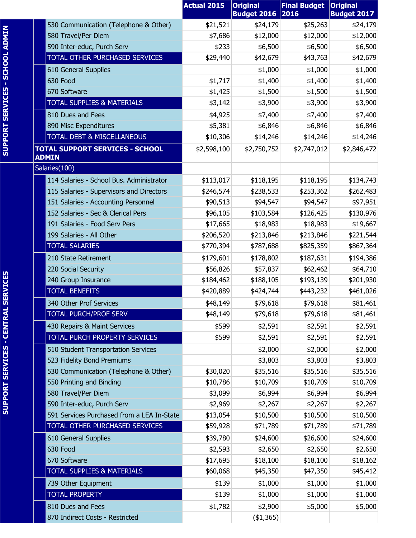|                                                                           | <b>Actual 2015</b>    | <b>Original</b><br><b>Budget 2016 2016</b> | <b>Final Budget</b>   | <b>Original</b><br><b>Budget 2017</b> |
|---------------------------------------------------------------------------|-----------------------|--------------------------------------------|-----------------------|---------------------------------------|
| 530 Communication (Telephone & Other)                                     | \$21,521              | \$24,179                                   | \$25,263              | \$24,179                              |
| 580 Travel/Per Diem                                                       | \$7,686               | \$12,000                                   | \$12,000              | \$12,000                              |
| 590 Inter-educ, Purch Serv                                                | \$233                 | \$6,500                                    | \$6,500               | \$6,500                               |
| TOTAL OTHER PURCHASED SERVICES                                            | \$29,440              | \$42,679                                   | \$43,763              | \$42,679                              |
| 610 General Supplies                                                      |                       | \$1,000                                    | \$1,000               | \$1,000                               |
| 630 Food                                                                  | \$1,717               | \$1,400                                    | \$1,400               | \$1,400                               |
| 670 Software                                                              | \$1,425               | \$1,500                                    | \$1,500               | \$1,500                               |
| <b>TOTAL SUPPLIES &amp; MATERIALS</b>                                     | \$3,142               | \$3,900                                    | \$3,900               | \$3,900                               |
| 810 Dues and Fees                                                         | \$4,925               | \$7,400                                    | \$7,400               | \$7,400                               |
| 890 Misc Expenditures                                                     | \$5,381               | \$6,846                                    | \$6,846               | \$6,846                               |
| <b>TOTAL DEBT &amp; MISCELLANEOUS</b>                                     | \$10,306              | \$14,246                                   | \$14,246              | \$14,246                              |
| <b>TOTAL SUPPORT SERVICES - SCHOOL</b>                                    | \$2,598,100           | \$2,750,752                                | \$2,747,012           | \$2,846,472                           |
| <b>ADMIN</b>                                                              |                       |                                            |                       |                                       |
| Salaries(100)                                                             |                       |                                            |                       |                                       |
| 114 Salaries - School Bus. Administrator                                  | \$113,017             | \$118,195                                  | \$118,195             | \$134,743                             |
| 115 Salaries - Supervisors and Directors                                  | \$246,574             | \$238,533                                  | \$253,362             | \$262,483                             |
| 151 Salaries - Accounting Personnel<br>152 Salaries - Sec & Clerical Pers | \$90,513              | \$94,547                                   | \$94,547              | \$97,951                              |
| 191 Salaries - Food Serv Pers                                             | \$96,105              | \$103,584                                  | \$126,425             | \$130,976                             |
| 199 Salaries - All Other                                                  | \$17,665<br>\$206,520 | \$18,983<br>\$213,846                      | \$18,983<br>\$213,846 | \$19,667<br>\$221,544                 |
| <b>TOTAL SALARIES</b>                                                     | \$770,394             | \$787,688                                  | \$825,359             | \$867,364                             |
|                                                                           |                       |                                            |                       |                                       |
| 210 State Retirement<br>220 Social Security                               | \$179,601             | \$178,802                                  | \$187,631             | \$194,386                             |
| 240 Group Insurance                                                       | \$56,826<br>\$184,462 | \$57,837<br>\$188,105                      | \$62,462<br>\$193,139 | \$64,710<br>\$201,930                 |
| <b>TOTAL BENEFITS</b>                                                     | \$420,889             | \$424,744                                  | \$443,232             | \$461,026                             |
| 340 Other Prof Services                                                   |                       |                                            |                       |                                       |
| <b>TOTAL PURCH/PROF SERV</b>                                              | \$48,149<br>\$48,149  | \$79,618<br>\$79,618                       | \$79,618<br>\$79,618  | \$81,461<br>\$81,461                  |
| 430 Repairs & Maint Services                                              | \$599                 |                                            | \$2,591               |                                       |
| TOTAL PURCH PROPERTY SERVICES                                             | \$599                 | \$2,591<br>\$2,591                         | \$2,591               | \$2,591<br>\$2,591                    |
| 510 Student Transportation Services                                       |                       | \$2,000                                    | \$2,000               | \$2,000                               |
| 523 Fidelity Bond Premiums                                                |                       | \$3,803                                    | \$3,803               | \$3,803                               |
| 530 Communication (Telephone & Other)                                     | \$30,020              | \$35,516                                   | \$35,516              | \$35,516                              |
| 550 Printing and Binding                                                  | \$10,786              | \$10,709                                   | \$10,709              | \$10,709                              |
| 580 Travel/Per Diem                                                       | \$3,099               | \$6,994                                    | \$6,994               | \$6,994                               |
| 590 Inter-educ, Purch Serv                                                | \$2,969               | \$2,267                                    | \$2,267               | \$2,267                               |
| 591 Services Purchased from a LEA In-State                                | \$13,054              | \$10,500                                   | \$10,500              | \$10,500                              |
| TOTAL OTHER PURCHASED SERVICES                                            | \$59,928              | \$71,789                                   | \$71,789              | \$71,789                              |
| 610 General Supplies                                                      | \$39,780              | \$24,600                                   | \$26,600              | \$24,600                              |
| 630 Food                                                                  | \$2,593               | \$2,650                                    | \$2,650               | \$2,650                               |
| 670 Software                                                              | \$17,695              | \$18,100                                   | \$18,100              | \$18,162                              |
| <b>TOTAL SUPPLIES &amp; MATERIALS</b>                                     | \$60,068              | \$45,350                                   | \$47,350              | \$45,412                              |
| 739 Other Equipment                                                       | \$139                 | \$1,000                                    | \$1,000               | \$1,000                               |
| <b>TOTAL PROPERTY</b>                                                     | \$139                 | \$1,000                                    | \$1,000               | \$1,000                               |
| 810 Dues and Fees                                                         | \$1,782               | \$2,900                                    | \$5,000               | \$5,000                               |
| 870 Indirect Costs - Restricted                                           |                       | (41, 365)                                  |                       |                                       |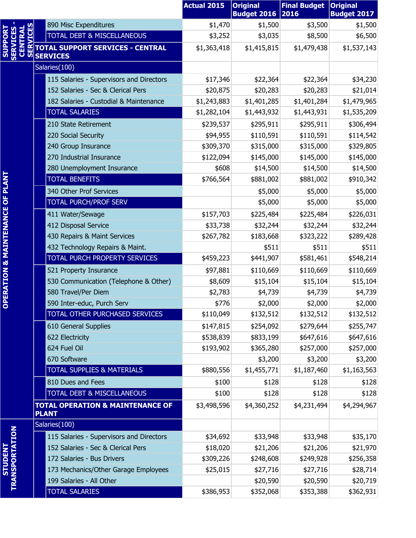|                                                         |                                                                                                              | <b>Actual 2015</b> | <b>Original</b><br><b>Budget 2016 2016</b> | <b>Final Budget</b> | <b>Original</b><br><b>Budget 2017</b> |
|---------------------------------------------------------|--------------------------------------------------------------------------------------------------------------|--------------------|--------------------------------------------|---------------------|---------------------------------------|
|                                                         |                                                                                                              | \$1,470            | \$1,500                                    | \$3,500             | \$1,500                               |
|                                                         |                                                                                                              | \$3,252            | \$3,035                                    | \$8,500             | \$6,500                               |
| <b>SERVICES</b><br>CENTRAL<br><b>SUPPOR</b><br><u>m</u> | 890 Misc Expenditures<br>TOTAL DEBT & MISCELLANEOUS<br>HATOTAL SUPPORT SERVICES - CENTRAL<br><b>SERVICES</b> | \$1,363,418        | \$1,415,815                                | \$1,479,438         | \$1,537,143                           |
|                                                         | Salaries(100)                                                                                                |                    |                                            |                     |                                       |
|                                                         | 115 Salaries - Supervisors and Directors                                                                     | \$17,346           | \$22,364                                   | \$22,364            | \$34,230                              |
|                                                         | 152 Salaries - Sec & Clerical Pers                                                                           | \$20,875           | \$20,283                                   | \$20,283            | \$21,014                              |
|                                                         | 182 Salaries - Custodial & Maintenance                                                                       | \$1,243,883        | \$1,401,285                                | \$1,401,284         | \$1,479,965                           |
|                                                         | <b>TOTAL SALARIES</b>                                                                                        | \$1,282,104        | \$1,443,932                                | \$1,443,931         | \$1,535,209                           |
|                                                         | 210 State Retirement                                                                                         | \$239,537          | \$295,911                                  | \$295,911           | \$306,494                             |
|                                                         | 220 Social Security                                                                                          | \$94,955           | \$110,591                                  | \$110,591           | \$114,542                             |
|                                                         | 240 Group Insurance                                                                                          | \$309,370          | \$315,000                                  | \$315,000           | \$329,805                             |
|                                                         | 270 Industrial Insurance                                                                                     | \$122,094          | \$145,000                                  | \$145,000           | \$145,000                             |
|                                                         | 280 Unemployment Insurance                                                                                   | \$608              | \$14,500                                   | \$14,500            | \$14,500                              |
|                                                         | <b>TOTAL BENEFITS</b>                                                                                        | \$766,564          | \$881,002                                  | \$881,002           | \$910,342                             |
|                                                         | 340 Other Prof Services                                                                                      |                    | \$5,000                                    | \$5,000             | \$5,000                               |
|                                                         | <b>TOTAL PURCH/PROF SERV</b>                                                                                 |                    | \$5,000                                    | \$5,000             | \$5,000                               |
|                                                         | 411 Water/Sewage                                                                                             | \$157,703          | \$225,484                                  | \$225,484           | \$226,031                             |
|                                                         | 412 Disposal Service                                                                                         | \$33,738           | \$32,244                                   | \$32,244            | \$32,244                              |
|                                                         | 430 Repairs & Maint Services                                                                                 | \$267,782          | \$183,668                                  | \$323,222           | \$289,428                             |
|                                                         | 432 Technology Repairs & Maint.                                                                              |                    | \$511                                      | \$511               | \$511                                 |
|                                                         | TOTAL PURCH PROPERTY SERVICES                                                                                | \$459,223          | \$441,907                                  | \$581,461           | \$548,214                             |
|                                                         | 521 Property Insurance                                                                                       | \$97,881           | \$110,669                                  | \$110,669           | \$110,669                             |
|                                                         | 530 Communication (Telephone & Other)                                                                        | \$8,609            | \$15,104                                   | \$15,104            | \$15,104                              |
| PERATION & MAINTENANCE OF PLANT                         | 580 Travel/Per Diem                                                                                          | \$2,783            | \$4,739                                    | \$4,739             | \$4,739                               |
| ō                                                       | 590 Inter-educ, Purch Serv                                                                                   | \$776              | \$2,000                                    | \$2,000             | \$2,000                               |
|                                                         | TOTAL OTHER PURCHASED SERVICES                                                                               | \$110,049          | \$132,512                                  | \$132,512           | \$132,512                             |
|                                                         | 610 General Supplies                                                                                         | \$147,815          | \$254,092                                  | \$279,644           | \$255,747                             |
|                                                         | 622 Electricity                                                                                              | \$538,839          | \$833,199                                  | \$647,616           | \$647,616                             |
|                                                         | 624 Fuel Oil                                                                                                 | \$193,902          | \$365,280                                  | \$257,000           | \$257,000                             |
|                                                         | 670 Software                                                                                                 |                    | \$3,200                                    | \$3,200             | \$3,200                               |
|                                                         | <b>TOTAL SUPPLIES &amp; MATERIALS</b>                                                                        | \$880,556          | \$1,455,771                                | \$1,187,460         | \$1,163,563                           |
|                                                         | 810 Dues and Fees                                                                                            | \$100              | \$128                                      | \$128               | \$128                                 |
|                                                         | TOTAL DEBT & MISCELLANEOUS                                                                                   | \$100              | \$128                                      | \$128               | \$128                                 |
|                                                         | <b>TOTAL OPERATION &amp; MAINTENANCE OF</b><br><b>PLANT</b>                                                  | \$3,498,596        | \$4,360,252                                | \$4,231,494         | \$4,294,967                           |
|                                                         | Salaries(100)                                                                                                |                    |                                            |                     |                                       |
| <b>TRANSPORTATION</b>                                   | 115 Salaries - Supervisors and Directors                                                                     | \$34,692           | \$33,948                                   | \$33,948            | \$35,170                              |
|                                                         | 152 Salaries - Sec & Clerical Pers                                                                           | \$18,020           | \$21,206                                   | \$21,206            | \$21,970                              |
| <b>STUDENT</b>                                          | 172 Salaries - Bus Drivers                                                                                   | \$309,226          | \$248,608                                  | \$249,928           | \$256,358                             |
|                                                         | 173 Mechanics/Other Garage Employees                                                                         | \$25,015           | \$27,716                                   | \$27,716            | \$28,714                              |
|                                                         | 199 Salaries - All Other                                                                                     |                    | \$20,590                                   | \$20,590            | \$20,719                              |
|                                                         | <b>TOTAL SALARIES</b>                                                                                        | \$386,953          | \$352,068                                  | \$353,388           | \$362,931                             |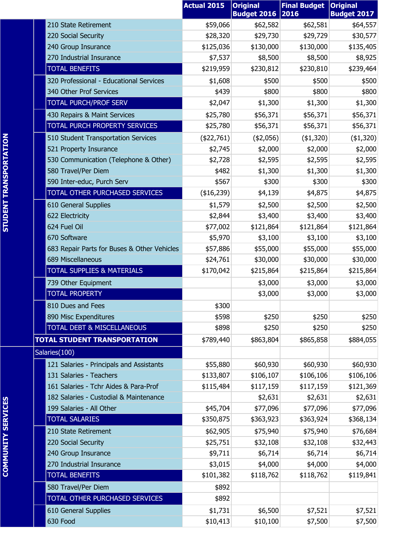|                                             | <b>Actual 2015</b> | <b>Original</b><br><b>Budget 2016</b> | <b>Final Budget</b><br>2016 | <b>Original</b><br><b>Budget 2017</b> |
|---------------------------------------------|--------------------|---------------------------------------|-----------------------------|---------------------------------------|
| 210 State Retirement                        | \$59,066           | \$62,582                              | \$62,581                    | \$64,557                              |
| 220 Social Security                         | \$28,320           | \$29,730                              | \$29,729                    | \$30,577                              |
| 240 Group Insurance                         | \$125,036          | \$130,000                             | \$130,000                   | \$135,405                             |
| 270 Industrial Insurance                    | \$7,537            | \$8,500                               | \$8,500                     | \$8,925                               |
| <b>TOTAL BENEFITS</b>                       | \$219,959          | \$230,812                             | \$230,810                   | \$239,464                             |
| 320 Professional - Educational Services     | \$1,608            | \$500                                 | \$500                       | \$500                                 |
| 340 Other Prof Services                     | \$439              | \$800                                 | \$800                       | \$800                                 |
| TOTAL PURCH/PROF SERV                       | \$2,047            | \$1,300                               | \$1,300                     | \$1,300                               |
| 430 Repairs & Maint Services                | \$25,780           | \$56,371                              | \$56,371                    | \$56,371                              |
| TOTAL PURCH PROPERTY SERVICES               | \$25,780           | \$56,371                              | \$56,371                    | \$56,371                              |
| 510 Student Transportation Services         | (\$22,761)         | (42,056)                              | ( \$1,320)                  | (\$1,320)                             |
| 521 Property Insurance                      | \$2,745            | \$2,000                               | \$2,000                     | \$2,000                               |
| 530 Communication (Telephone & Other)       | \$2,728            | \$2,595                               | \$2,595                     | \$2,595                               |
| 580 Travel/Per Diem                         | \$482              | \$1,300                               | \$1,300                     | \$1,300                               |
| 590 Inter-educ, Purch Serv                  | \$567              | \$300                                 | \$300                       | \$300                                 |
| TOTAL OTHER PURCHASED SERVICES              | (\$16,239)         | \$4,139                               | \$4,875                     | \$4,875                               |
| 610 General Supplies                        | \$1,579            | \$2,500                               | \$2,500                     | \$2,500                               |
| 622 Electricity                             | \$2,844            | \$3,400                               | \$3,400                     | \$3,400                               |
| 624 Fuel Oil                                | \$77,002           | \$121,864                             | \$121,864                   | \$121,864                             |
| 670 Software                                | \$5,970            | \$3,100                               | \$3,100                     | \$3,100                               |
| 683 Repair Parts for Buses & Other Vehicles | \$57,886           | \$55,000                              | \$55,000                    | \$55,000                              |
| 689 Miscellaneous                           | \$24,761           | \$30,000                              | \$30,000                    | \$30,000                              |
| <b>TOTAL SUPPLIES &amp; MATERIALS</b>       | \$170,042          | \$215,864                             | \$215,864                   | \$215,864                             |
| 739 Other Equipment                         |                    | \$3,000                               | \$3,000                     | \$3,000                               |
| <b>TOTAL PROPERTY</b>                       |                    | \$3,000                               | \$3,000                     | \$3,000                               |
| 810 Dues and Fees                           | \$300              |                                       |                             |                                       |
| 890 Misc Expenditures                       | \$598              | \$250                                 | \$250                       | \$250                                 |
| <b>TOTAL DEBT &amp; MISCELLANEOUS</b>       | \$898              | \$250                                 | \$250                       | \$250                                 |
| <b>TOTAL STUDENT TRANSPORTATION</b>         | \$789,440          | \$863,804                             | \$865,858                   | \$884,055                             |
| Salaries(100)                               |                    |                                       |                             |                                       |
| 121 Salaries - Principals and Assistants    | \$55,880           | \$60,930                              | \$60,930                    | \$60,930                              |
| 131 Salaries - Teachers                     | \$133,807          | \$106,107                             | \$106,106                   | \$106,106                             |
| 161 Salaries - Tchr Aides & Para-Prof       | \$115,484          | \$117,159                             | \$117,159                   | \$121,369                             |
| 182 Salaries - Custodial & Maintenance      |                    | \$2,631                               | \$2,631                     | \$2,631                               |
| 199 Salaries - All Other                    | \$45,704           | \$77,096                              | \$77,096                    | \$77,096                              |
| <b>TOTAL SALARIES</b>                       | \$350,875          | \$363,923                             | \$363,924                   | \$368,134                             |
| 210 State Retirement                        | \$62,905           | \$75,940                              | \$75,940                    | \$76,684                              |
| 220 Social Security                         | \$25,751           | \$32,108                              | \$32,108                    | \$32,443                              |
| 240 Group Insurance                         | \$9,711            | \$6,714                               | \$6,714                     | \$6,714                               |
| 270 Industrial Insurance                    | \$3,015            | \$4,000                               | \$4,000                     | \$4,000                               |
| <b>TOTAL BENEFITS</b>                       | \$101,382          | \$118,762                             | \$118,762                   | \$119,841                             |
| 580 Travel/Per Diem                         | \$892              |                                       |                             |                                       |
| TOTAL OTHER PURCHASED SERVICES              | \$892              |                                       |                             |                                       |
| 610 General Supplies                        | \$1,731            | \$6,500                               | \$7,521                     | \$7,521                               |
| 630 Food                                    | \$10,413           | \$10,100                              | \$7,500                     | \$7,500                               |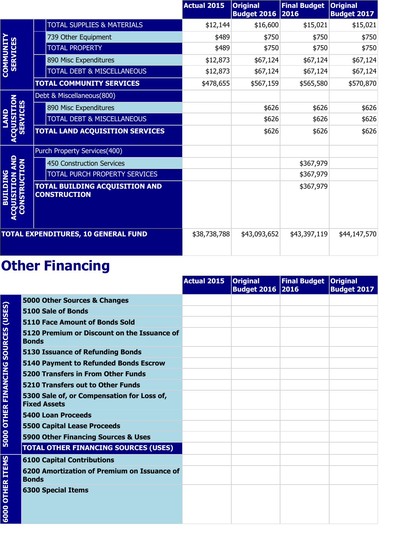|                                                  |                                                              | <b>Actual 2015</b> | <b>Original</b><br><b>Budget 2016 2016</b> | <b>Final Budget</b> | <b>Original</b><br><b>Budget 2017</b> |
|--------------------------------------------------|--------------------------------------------------------------|--------------------|--------------------------------------------|---------------------|---------------------------------------|
|                                                  | TOTAL SUPPLIES & MATERIALS                                   | \$12,144           | \$16,600                                   | \$15,021            | \$15,021                              |
|                                                  | 739 Other Equipment                                          | \$489              | \$750                                      | \$750               | \$750                                 |
| <b>COMMUNITY</b><br>SERVICES                     | <b>TOTAL PROPERTY</b>                                        | \$489              | \$750                                      | \$750               | \$750                                 |
|                                                  | 890 Misc Expenditures                                        | \$12,873           | \$67,124                                   | \$67,124            | \$67,124                              |
|                                                  | TOTAL DEBT & MISCELLANEOUS                                   | \$12,873           | \$67,124                                   | \$67,124            | \$67,124                              |
|                                                  | <b>TOTAL COMMUNITY SERVICES</b>                              | \$478,655          | \$567,159                                  | \$565,580           | \$570,870                             |
|                                                  | Debt & Miscellaneous(800)                                    |                    |                                            |                     |                                       |
| <b>NOILISTI</b>                                  | 890 Misc Expenditures                                        |                    | \$626                                      | \$626               | \$626                                 |
| <b>SERVICE</b>                                   | TOTAL DEBT & MISCELLANEOUS                                   |                    | \$626                                      | \$626               | \$626                                 |
|                                                  | <b>TOTAL LAND ACQUISITION SERVICES</b>                       |                    | \$626                                      | \$626               | \$626                                 |
|                                                  | Purch Property Services(400)                                 |                    |                                            |                     |                                       |
|                                                  | <b>450 Construction Services</b>                             |                    |                                            | \$367,979           |                                       |
|                                                  | TOTAL PURCH PROPERTY SERVICES                                |                    |                                            | \$367,979           |                                       |
| NSTRUCTION<br><b>BUILDING</b><br><b>NOTITIST</b> | <b>TOTAL BUILDING ACQUISITION AND</b><br><b>CONSTRUCTION</b> |                    |                                            | \$367,979           |                                       |
|                                                  | <b>TOTAL EXPENDITURES, 10 GENERAL FUND</b>                   | \$38,738,788       | \$43,093,652                               | \$43,397,119        | \$44,147,570                          |

|                                            |                                                                   | <b>Actual 2015</b> | <b>Original</b><br><b>Budget 2016 2016</b> | Final Budget   Original | <b>Budget 2017</b> |
|--------------------------------------------|-------------------------------------------------------------------|--------------------|--------------------------------------------|-------------------------|--------------------|
|                                            | 5000 Other Sources & Changes                                      |                    |                                            |                         |                    |
|                                            | 5100 Sale of Bonds                                                |                    |                                            |                         |                    |
|                                            | 5110 Face Amount of Bonds Sold                                    |                    |                                            |                         |                    |
| <b>5000 OTHER FINANCING SOURCES (USES)</b> | 5120 Premium or Discount on the Issuance of<br><b>Bonds</b>       |                    |                                            |                         |                    |
|                                            | <b>5130 Issuance of Refunding Bonds</b>                           |                    |                                            |                         |                    |
|                                            | 5140 Payment to Refunded Bonds Escrow                             |                    |                                            |                         |                    |
|                                            | <b>5200 Transfers in From Other Funds</b>                         |                    |                                            |                         |                    |
|                                            | 5210 Transfers out to Other Funds                                 |                    |                                            |                         |                    |
|                                            | 5300 Sale of, or Compensation for Loss of,<br><b>Fixed Assets</b> |                    |                                            |                         |                    |
|                                            | <b>5400 Loan Proceeds</b>                                         |                    |                                            |                         |                    |
|                                            | <b>5500 Capital Lease Proceeds</b>                                |                    |                                            |                         |                    |
|                                            | 5900 Other Financing Sources & Uses                               |                    |                                            |                         |                    |
|                                            | <b>TOTAL OTHER FINANCING SOURCES (USES)</b>                       |                    |                                            |                         |                    |
|                                            | <b>6100 Capital Contributions</b>                                 |                    |                                            |                         |                    |
|                                            | 6200 Amortization of Premium on Issuance of<br><b>Bonds</b>       |                    |                                            |                         |                    |
| <b>6000 OTHER ITEMS</b>                    | <b>6300 Special Items</b>                                         |                    |                                            |                         |                    |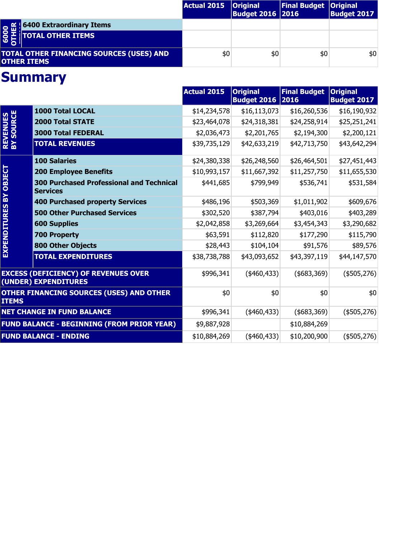|                                                                                      | Actual 2015 | <b>Original</b><br><b>Budget 2016 2016</b> | Final Budget   Original | <b>Budget 2017</b> |
|--------------------------------------------------------------------------------------|-------------|--------------------------------------------|-------------------------|--------------------|
|                                                                                      |             |                                            |                         |                    |
| <b>O fill 6400 Extraordinary Items</b><br><b>O H</b><br><b>C</b> D TOTAL OTHER ITEMS |             |                                            |                         |                    |
| <b>TOTAL OTHER FINANCING SOURCES (USES) AND</b><br><b>OTHER ITEMS</b>                | \$0         | \$0                                        | \$0                     | \$0                |

|                               |                                                                     | <b>Actual 2015</b> | <b>Original</b><br><b>Budget 2016</b> | <b>Final Budget</b><br>2016 | <b>Original</b><br><b>Budget 2017</b> |
|-------------------------------|---------------------------------------------------------------------|--------------------|---------------------------------------|-----------------------------|---------------------------------------|
|                               | 1000 Total LOCAL                                                    | \$14,234,578       | \$16,113,073                          | \$16,260,536                | \$16,190,932                          |
|                               | <b>2000 Total STATE</b>                                             | \$23,464,078       | \$24,318,381                          | \$24,258,914                | \$25,251,241                          |
|                               | <b>3000 Total FEDERAL</b>                                           | \$2,036,473        | \$2,201,765                           | \$2,194,300                 | \$2,200,121                           |
| <b>REVENUES<br/>BY SOURCE</b> | <b>TOTAL REVENUES</b>                                               | \$39,735,129       | \$42,633,219                          | \$42,713,750                | \$43,642,294                          |
|                               | <b>100 Salaries</b>                                                 | \$24,380,338       | \$26,248,560                          | \$26,464,501                | \$27,451,443                          |
|                               | <b>200 Employee Benefits</b>                                        | \$10,993,157       | \$11,667,392                          | \$11,257,750                | \$11,655,530                          |
| EXPENDITURES BY OBJECT        | <b>300 Purchased Professional and Technical</b><br><b>Services</b>  | \$441,685          | \$799,949                             | \$536,741                   | \$531,584                             |
|                               | <b>400 Purchased property Services</b>                              | \$486,196          | \$503,369                             | \$1,011,902                 | \$609,676                             |
|                               | <b>500 Other Purchased Services</b>                                 | \$302,520          | \$387,794                             | \$403,016                   | \$403,289                             |
|                               | <b>600 Supplies</b>                                                 | \$2,042,858        | \$3,269,664                           | \$3,454,343                 | \$3,290,682                           |
|                               | <b>700 Property</b>                                                 | \$63,591           | \$112,820                             | \$177,290                   | \$115,790                             |
|                               | <b>800 Other Objects</b>                                            | \$28,443           | \$104,104                             | \$91,576                    | \$89,576                              |
|                               | <b>TOTAL EXPENDITURES</b>                                           | \$38,738,788       | \$43,093,652                          | \$43,397,119                | \$44,147,570                          |
|                               | <b>EXCESS (DEFICIENCY) OF REVENUES OVER</b><br>(UNDER) EXPENDITURES | \$996,341          | $(*460,433)$                          | $($ \$683,369) $ $          | $(*505,276)$                          |
| <b>ITEMS</b>                  | <b>OTHER FINANCING SOURCES (USES) AND OTHER</b>                     | \$0                | \$0                                   | \$0                         | \$0                                   |
|                               | <b>NET CHANGE IN FUND BALANCE</b>                                   | \$996,341          | $(*460,433)$                          | $(*683,369)$                | $(*505,276)$                          |
|                               | <b>FUND BALANCE - BEGINNING (FROM PRIOR YEAR)</b>                   | \$9,887,928        |                                       | \$10,884,269                |                                       |
|                               | <b>FUND BALANCE - ENDING</b>                                        | \$10,884,269       | $(*460,433)$                          | \$10,200,900                | $(*505,276)$                          |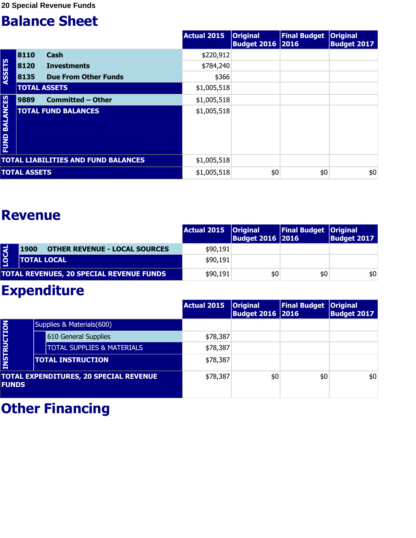|                         |                     |                                            | <b>Actual 2015</b> | <b>Original</b><br><b>Budget 2016 2016</b> | Final Budget   Original | <b>Budget 2017</b> |
|-------------------------|---------------------|--------------------------------------------|--------------------|--------------------------------------------|-------------------------|--------------------|
|                         | 8110                | <b>Cash</b>                                | \$220,912          |                                            |                         |                    |
|                         | 8120                | <b>Investments</b>                         | \$784,240          |                                            |                         |                    |
| ASSETS                  | 8135                | <b>Due From Other Funds</b>                | \$366              |                                            |                         |                    |
|                         | <b>TOTAL ASSETS</b> |                                            | \$1,005,518        |                                            |                         |                    |
|                         | 9889                | <b>Committed - Other</b>                   | \$1,005,518        |                                            |                         |                    |
| <b>BALANCES</b><br>FUND |                     | <b>TOTAL FUND BALANCES</b>                 | \$1,005,518        |                                            |                         |                    |
|                         |                     | <b>TOTAL LIABILITIES AND FUND BALANCES</b> | \$1,005,518        |                                            |                         |                    |
|                         | <b>TOTAL ASSETS</b> |                                            | \$1,005,518        | \$0                                        | \$0                     | \$0                |

#### **Revenue**

|             |                                                     | Actual 2015   Original | <b>Budget 2016 2016</b> | <b>Final Budget Original</b> | <b>Budget 2017</b> |
|-------------|-----------------------------------------------------|------------------------|-------------------------|------------------------------|--------------------|
| <b>DCAL</b> | <b>OTHER REVENUE - LOCAL SOURCES</b><br><b>1900</b> | \$90,191               |                         |                              |                    |
|             | <b>TOTAL LOCAL</b>                                  | \$90,191               |                         |                              |                    |
|             | <b>TOTAL REVENUES, 20 SPECIAL REVENUE FUNDS</b>     | \$90,191               | \$0                     | \$0                          | \$0                |

#### **Expenditure**

|                    |                                               | Actual 2015 | <b>Original</b><br><b>Budget 2016 2016</b> | <b>Final Budget</b> | <b>Original</b><br><b>Budget 2017</b> |
|--------------------|-----------------------------------------------|-------------|--------------------------------------------|---------------------|---------------------------------------|
|                    | Supplies & Materials(600)                     |             |                                            |                     |                                       |
|                    | 610 General Supplies                          | \$78,387    |                                            |                     |                                       |
|                    | <b>TOTAL SUPPLIES &amp; MATERIALS</b>         | \$78,387    |                                            |                     |                                       |
| <b>INSTRUCTION</b> | <b>TOTAL INSTRUCTION</b>                      | \$78,387    |                                            |                     |                                       |
| <b>FUNDS</b>       | <b>TOTAL EXPENDITURES, 20 SPECIAL REVENUE</b> | \$78,387    | \$0                                        | \$0                 | \$0                                   |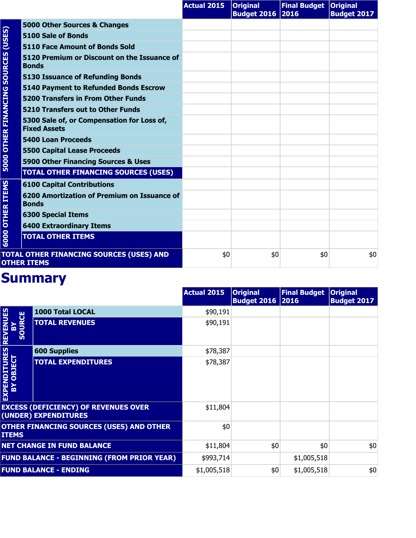|                             |                                                                   | <b>Actual 2015</b> | <b>Original</b><br><b>Budget 2016 2016</b> | Final Budget   Original | <b>Budget 2017</b> |
|-----------------------------|-------------------------------------------------------------------|--------------------|--------------------------------------------|-------------------------|--------------------|
|                             | 5000 Other Sources & Changes                                      |                    |                                            |                         |                    |
| (USES)                      | 5100 Sale of Bonds                                                |                    |                                            |                         |                    |
|                             | <b>5110 Face Amount of Bonds Sold</b>                             |                    |                                            |                         |                    |
| <b>SOURCES</b>              | 5120 Premium or Discount on the Issuance of<br><b>Bonds</b>       |                    |                                            |                         |                    |
|                             | <b>5130 Issuance of Refunding Bonds</b>                           |                    |                                            |                         |                    |
|                             | <b>5140 Payment to Refunded Bonds Escrow</b>                      |                    |                                            |                         |                    |
|                             | <b>5200 Transfers in From Other Funds</b>                         |                    |                                            |                         |                    |
|                             | 5210 Transfers out to Other Funds                                 |                    |                                            |                         |                    |
| <b>5000 OTHER FINANCING</b> | 5300 Sale of, or Compensation for Loss of,<br><b>Fixed Assets</b> |                    |                                            |                         |                    |
|                             | <b>5400 Loan Proceeds</b>                                         |                    |                                            |                         |                    |
|                             | <b>5500 Capital Lease Proceeds</b>                                |                    |                                            |                         |                    |
|                             | 5900 Other Financing Sources & Uses                               |                    |                                            |                         |                    |
|                             | <b>TOTAL OTHER FINANCING SOURCES (USES)</b>                       |                    |                                            |                         |                    |
|                             | <b>6100 Capital Contributions</b>                                 |                    |                                            |                         |                    |
| <b>OTHER ITEMS</b>          | 6200 Amortization of Premium on Issuance of<br><b>Bonds</b>       |                    |                                            |                         |                    |
|                             | <b>6300 Special Items</b>                                         |                    |                                            |                         |                    |
|                             | <b>6400 Extraordinary Items</b>                                   |                    |                                            |                         |                    |
| 6000                        | <b>TOTAL OTHER ITEMS</b>                                          |                    |                                            |                         |                    |
|                             | TOTAL OTHER FINANCING SOURCES (USES) AND<br><b>OTHER ITEMS</b>    | \$0                | \$0                                        | \$0                     | \$0                |

|                                       |                                                                     | <b>Actual 2015</b> | <b>Original</b><br><b>Budget 2016 2016</b> | <b>Final Budget</b> | <b>Original</b><br><b>Budget 2017</b> |
|---------------------------------------|---------------------------------------------------------------------|--------------------|--------------------------------------------|---------------------|---------------------------------------|
|                                       | 1000 Total LOCAL                                                    | \$90,191           |                                            |                     |                                       |
| <b>REVENUES</b><br><b>SOURCE</b><br>m | <b>TOTAL REVENUES</b>                                               | \$90,191           |                                            |                     |                                       |
|                                       | <b>600 Supplies</b>                                                 | \$78,387           |                                            |                     |                                       |
| EXPENDITURES<br>BY OBJECT             | <b>TOTAL EXPENDITURES</b>                                           | \$78,387           |                                            |                     |                                       |
|                                       | <b>EXCESS (DEFICIENCY) OF REVENUES OVER</b><br>(UNDER) EXPENDITURES | \$11,804           |                                            |                     |                                       |
| <b>ITEMS</b>                          | OTHER FINANCING SOURCES (USES) AND OTHER                            | \$0                |                                            |                     |                                       |
|                                       | <b>NET CHANGE IN FUND BALANCE</b>                                   | \$11,804           | \$0                                        | \$0                 | \$0                                   |
|                                       | <b>FUND BALANCE - BEGINNING (FROM PRIOR YEAR)</b>                   | \$993,714          |                                            | \$1,005,518         |                                       |
| <b>FUND BALANCE - ENDING</b>          |                                                                     | \$1,005,518        | \$0                                        | \$1,005,518         | \$0                                   |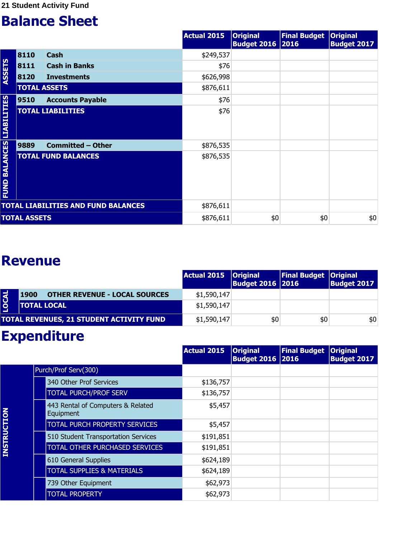|                                  |                     |                                            | <b>Actual 2015</b> | <b>Original</b><br><b>Budget 2016 2016</b> | <b>Final Budget</b> | <b>Original</b><br><b>Budget 2017</b> |
|----------------------------------|---------------------|--------------------------------------------|--------------------|--------------------------------------------|---------------------|---------------------------------------|
|                                  | 8110                | <b>Cash</b>                                | \$249,537          |                                            |                     |                                       |
|                                  | 8111                | <b>Cash in Banks</b>                       | \$76               |                                            |                     |                                       |
| <b>ASSETS</b>                    | 8120                | <b>Investments</b>                         | \$626,998          |                                            |                     |                                       |
|                                  | <b>TOTAL ASSETS</b> |                                            | \$876,611          |                                            |                     |                                       |
|                                  | 9510                | <b>Accounts Payable</b>                    | \$76               |                                            |                     |                                       |
|                                  |                     | <b>TOTAL LIABILITIES</b>                   | \$76               |                                            |                     |                                       |
|                                  | 9889                | <b>Committed - Other</b>                   | \$876,535          |                                            |                     |                                       |
| <b>FUND BALANCES LIABILITIES</b> |                     | <b>TOTAL FUND BALANCES</b>                 | \$876,535          |                                            |                     |                                       |
|                                  |                     | <b>TOTAL LIABILITIES AND FUND BALANCES</b> | \$876,611          |                                            |                     |                                       |
|                                  | <b>TOTAL ASSETS</b> |                                            | \$876,611          | \$0                                        | \$0                 | \$0                                   |

#### **Revenue**

|             |                                              | Actual 2015   Original | <b>Budget 2016 2016</b> | <b>Final Budget Original</b> | <b>Budget 2017</b> |
|-------------|----------------------------------------------|------------------------|-------------------------|------------------------------|--------------------|
| <b>OCAL</b> | <b>OTHER REVENUE - LOCAL SOURCES</b><br>1900 | \$1,590,147            |                         |                              |                    |
|             | <b>TOTAL LOCAL</b>                           | \$1,590,147            |                         |                              |                    |
|             | TOTAL REVENUES, 21 STUDENT ACTIVITY FUND     | \$1,590,147            | \$0                     | \$0                          | \$0                |

## **Expenditure**

|                    |                                                | <b>Actual 2015</b> | <b>Original</b><br><b>Budget 2016 2016</b> | <b>Final Budget</b> | <b>Original</b><br><b>Budget 2017</b> |
|--------------------|------------------------------------------------|--------------------|--------------------------------------------|---------------------|---------------------------------------|
|                    | Purch/Prof Serv(300)                           |                    |                                            |                     |                                       |
|                    | 340 Other Prof Services                        | \$136,757          |                                            |                     |                                       |
|                    | <b>TOTAL PURCH/PROF SERV</b>                   | \$136,757          |                                            |                     |                                       |
|                    | 443 Rental of Computers & Related<br>Equipment | \$5,457            |                                            |                     |                                       |
|                    | <b>TOTAL PURCH PROPERTY SERVICES</b>           | \$5,457            |                                            |                     |                                       |
|                    | 510 Student Transportation Services            | \$191,851          |                                            |                     |                                       |
| <b>INSTRUCTION</b> | <b>TOTAL OTHER PURCHASED SERVICES</b>          | \$191,851          |                                            |                     |                                       |
|                    | 610 General Supplies                           | \$624,189          |                                            |                     |                                       |
|                    | <b>TOTAL SUPPLIES &amp; MATERIALS</b>          | \$624,189          |                                            |                     |                                       |
|                    | 739 Other Equipment                            | \$62,973           |                                            |                     |                                       |
|                    | <b>TOTAL PROPERTY</b>                          | \$62,973           |                                            |                     |                                       |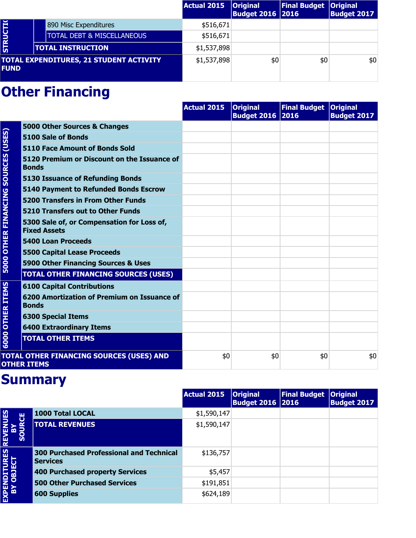|                 |                                                | Actual 2015 | <b>Original</b><br><b>Budget 2016 2016</b> | <b>Final Budget   Original</b> | <b>Budget 2017</b> |
|-----------------|------------------------------------------------|-------------|--------------------------------------------|--------------------------------|--------------------|
|                 | 890 Misc Expenditures                          | \$516,671   |                                            |                                |                    |
| <b>STRUCTIO</b> | <b>TOTAL DEBT &amp; MISCELLANEOUS</b>          | \$516,671   |                                            |                                |                    |
|                 | <b>TOTAL INSTRUCTION</b>                       | \$1,537,898 |                                            |                                |                    |
| <b>FUND</b>     | <b>TOTAL EXPENDITURES, 21 STUDENT ACTIVITY</b> | \$1,537,898 | \$0                                        | \$0                            | \$0                |

|                          |                                                                   | <b>Actual 2015</b> | <b>Original</b><br><b>Budget 2016 2016</b> | Final Budget   Original | <b>Budget 2017</b> |
|--------------------------|-------------------------------------------------------------------|--------------------|--------------------------------------------|-------------------------|--------------------|
|                          | 5000 Other Sources & Changes                                      |                    |                                            |                         |                    |
| (USES)<br><b>SOURCES</b> | 5100 Sale of Bonds                                                |                    |                                            |                         |                    |
|                          | <b>5110 Face Amount of Bonds Sold</b>                             |                    |                                            |                         |                    |
|                          | 5120 Premium or Discount on the Issuance of<br><b>Bonds</b>       |                    |                                            |                         |                    |
|                          | <b>5130 Issuance of Refunding Bonds</b>                           |                    |                                            |                         |                    |
|                          | <b>5140 Payment to Refunded Bonds Escrow</b>                      |                    |                                            |                         |                    |
|                          | <b>5200 Transfers in From Other Funds</b>                         |                    |                                            |                         |                    |
|                          | <b>5210 Transfers out to Other Funds</b>                          |                    |                                            |                         |                    |
| <b>OTHER FINANCING</b>   | 5300 Sale of, or Compensation for Loss of,<br><b>Fixed Assets</b> |                    |                                            |                         |                    |
|                          | <b>5400 Loan Proceeds</b>                                         |                    |                                            |                         |                    |
|                          | <b>5500 Capital Lease Proceeds</b>                                |                    |                                            |                         |                    |
| 5000                     | 5900 Other Financing Sources & Uses                               |                    |                                            |                         |                    |
|                          | <b>TOTAL OTHER FINANCING SOURCES (USES)</b>                       |                    |                                            |                         |                    |
|                          | <b>6100 Capital Contributions</b>                                 |                    |                                            |                         |                    |
| <b>OTHER ITEMS</b>       | 6200 Amortization of Premium on Issuance of<br><b>Bonds</b>       |                    |                                            |                         |                    |
|                          | <b>6300 Special Items</b>                                         |                    |                                            |                         |                    |
|                          | <b>6400 Extraordinary Items</b>                                   |                    |                                            |                         |                    |
| 6000                     | <b>TOTAL OTHER ITEMS</b>                                          |                    |                                            |                         |                    |
|                          | TOTAL OTHER FINANCING SOURCES (USES) AND<br><b>OTHER ITEMS</b>    | \$0                | \$0                                        | \$0                     | \$0                |

|                                                |                                                                    | <b>Actual 2015</b> | <b>Original</b><br><b>Budget 2016   2016</b> | <b>Final Budget</b> | <b>Original</b><br><b>Budget 2017</b> |
|------------------------------------------------|--------------------------------------------------------------------|--------------------|----------------------------------------------|---------------------|---------------------------------------|
|                                                | 1000 Total LOCAL                                                   | \$1,590,147        |                                              |                     |                                       |
| <b>REVENUES<br/>BY<br/>SOURCE</b><br><b>So</b> | <b>TOTAL REVENUES</b>                                              | \$1,590,147        |                                              |                     |                                       |
| EXPENDITURES                                   | <b>300 Purchased Professional and Technical</b><br><b>Services</b> | \$136,757          |                                              |                     |                                       |
|                                                | 400 Purchased property Services                                    | \$5,457            |                                              |                     |                                       |
|                                                | <b>500 Other Purchased Services</b>                                | \$191,851          |                                              |                     |                                       |
|                                                | <b>600 Supplies</b>                                                | \$624,189          |                                              |                     |                                       |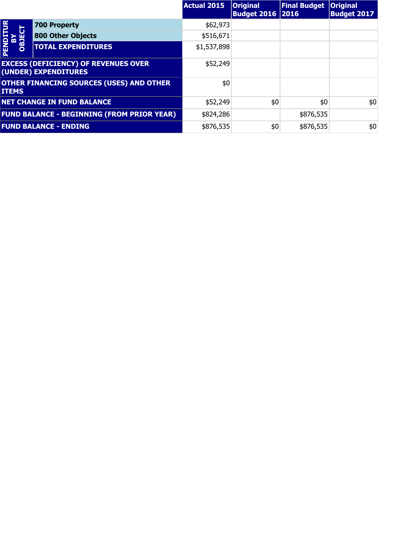|                                |                                                                     | <b>Actual 2015</b> | <b>Original</b><br><b>Budget 2016   2016</b> | <b>Final Budget</b> | <b>Original</b><br><b>Budget 2017</b> |
|--------------------------------|---------------------------------------------------------------------|--------------------|----------------------------------------------|---------------------|---------------------------------------|
| $\overline{P}$                 | <b>700 Property</b>                                                 | \$62,973           |                                              |                     |                                       |
| <b>BY<br/>OBJECT</b><br>PENDIT | <b>800 Other Objects</b>                                            | \$516,671          |                                              |                     |                                       |
|                                | <b>TOTAL EXPENDITURES</b>                                           | \$1,537,898        |                                              |                     |                                       |
|                                | <b>EXCESS (DEFICIENCY) OF REVENUES OVER</b><br>(UNDER) EXPENDITURES | \$52,249           |                                              |                     |                                       |
| <b>ITEMS</b>                   | <b>OTHER FINANCING SOURCES (USES) AND OTHER</b>                     | \$0                |                                              |                     |                                       |
|                                | <b>NET CHANGE IN FUND BALANCE</b>                                   | \$52,249           | \$0                                          | \$0                 | \$0                                   |
|                                | <b>FUND BALANCE - BEGINNING (FROM PRIOR YEAR)</b>                   | \$824,286          |                                              | \$876,535           |                                       |
|                                | <b>FUND BALANCE - ENDING</b>                                        | \$876,535          | \$0                                          | \$876,535           | \$0                                   |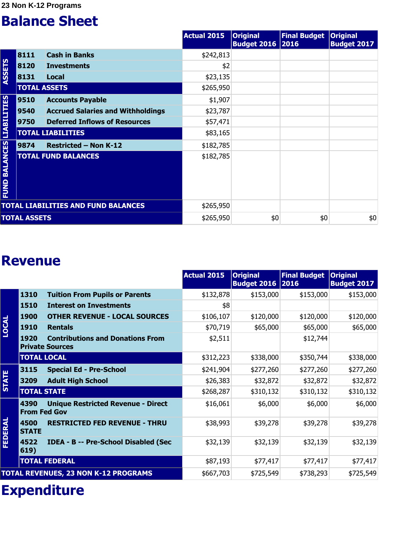**23 Non K-12 Programs** 

#### **Balance Sheet**

|                                  |                     |                                            | <b>Actual 2015</b> | <b>Original</b><br><b>Budget 2016 2016</b> | <b>Final Budget</b> | <b>Original</b><br><b>Budget 2017</b> |
|----------------------------------|---------------------|--------------------------------------------|--------------------|--------------------------------------------|---------------------|---------------------------------------|
|                                  | 8111                | <b>Cash in Banks</b>                       | \$242,813          |                                            |                     |                                       |
|                                  | 8120                | <b>Investments</b>                         | \$2                |                                            |                     |                                       |
| <b>ASSETS</b>                    | 8131                | Local                                      | \$23,135           |                                            |                     |                                       |
|                                  | <b>TOTAL ASSETS</b> |                                            | \$265,950          |                                            |                     |                                       |
|                                  | 9510                | <b>Accounts Payable</b>                    | \$1,907            |                                            |                     |                                       |
|                                  | 9540                | <b>Accrued Salaries and Withholdings</b>   | \$23,787           |                                            |                     |                                       |
|                                  | 9750                | <b>Deferred Inflows of Resources</b>       | \$57,471           |                                            |                     |                                       |
|                                  |                     | <b>TOTAL LIABILITIES</b>                   | \$83,165           |                                            |                     |                                       |
|                                  | 9874                | <b>Restricted - Non K-12</b>               | \$182,785          |                                            |                     |                                       |
| <b>FUND BALANCES LIABILITIES</b> |                     | <b>TOTAL FUND BALANCES</b>                 | \$182,785          |                                            |                     |                                       |
|                                  |                     | <b>TOTAL LIABILITIES AND FUND BALANCES</b> | \$265,950          |                                            |                     |                                       |
|                                  | <b>TOTAL ASSETS</b> |                                            | \$265,950          | \$0                                        | \$0                 | \$0                                   |

#### **Revenue**

|              |                             |                                                                   | Actual 2015 | <b>Original</b><br>Budget 2016 2016 | <b>Final Budget</b> | <b>Original</b><br><b>Budget 2017</b> |
|--------------|-----------------------------|-------------------------------------------------------------------|-------------|-------------------------------------|---------------------|---------------------------------------|
|              | 1310                        | <b>Tuition From Pupils or Parents</b>                             | \$132,878   | \$153,000                           | \$153,000           | \$153,000                             |
|              | 1510                        | <b>Interest on Investments</b>                                    | \$8         |                                     |                     |                                       |
|              | <b>1900</b>                 | <b>OTHER REVENUE - LOCAL SOURCES</b>                              | \$106,107   | \$120,000                           | \$120,000           | \$120,000                             |
| <b>LOCAL</b> | <b>1910</b>                 | <b>Rentals</b>                                                    | \$70,719    | \$65,000                            | \$65,000            | \$65,000                              |
|              | 1920                        | <b>Contributions and Donations From</b><br><b>Private Sources</b> | \$2,511     |                                     | \$12,744            |                                       |
|              | <b>TOTAL LOCAL</b>          |                                                                   | \$312,223   | \$338,000                           | \$350,744           | \$338,000                             |
|              | 3115                        | <b>Special Ed - Pre-School</b>                                    | \$241,904   | \$277,260                           | \$277,260           | \$277,260                             |
| <b>STATE</b> | 3209                        | <b>Adult High School</b>                                          | \$26,383    | \$32,872                            | \$32,872            | \$32,872                              |
|              | <b>TOTAL STATE</b>          |                                                                   | \$268,287   | \$310,132                           | \$310,132           | \$310,132                             |
|              | 4390<br><b>From Fed Gov</b> | <b>Unique Restricted Revenue - Direct</b>                         | \$16,061    | \$6,000                             | \$6,000             | \$6,000                               |
| FEDERAL      | 4500<br><b>STATE</b>        | <b>RESTRICTED FED REVENUE - THRU</b>                              | \$38,993    | \$39,278                            | \$39,278            | \$39,278                              |
|              | 4522<br>619)                | <b>IDEA - B -- Pre-School Disabled (Sec</b>                       | \$32,139    | \$32,139                            | \$32,139            | \$32,139                              |
|              |                             | <b>TOTAL FEDERAL</b>                                              | \$87,193    | \$77,417                            | \$77,417            | \$77,417                              |
|              |                             | <b>TOTAL REVENUES, 23 NON K-12 PROGRAMS</b>                       | \$667,703   | \$725,549                           | \$738,293           | \$725,549                             |

## **Expenditure**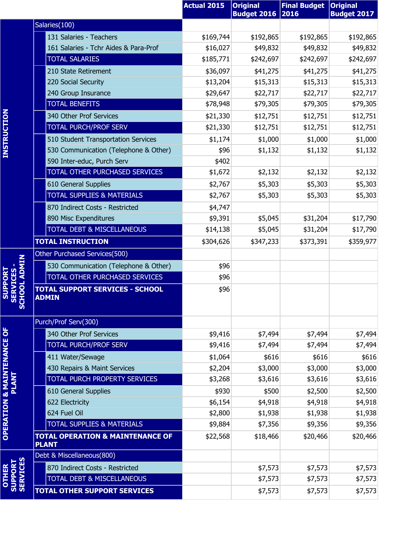|                                                           |                                                             | <b>Actual 2015</b> | <b>Original</b><br><b>Budget 2016</b> | <b>Final Budget</b><br>2016 | <b>Original</b><br><b>Budget 2017</b> |
|-----------------------------------------------------------|-------------------------------------------------------------|--------------------|---------------------------------------|-----------------------------|---------------------------------------|
|                                                           | Salaries(100)                                               |                    |                                       |                             |                                       |
|                                                           | 131 Salaries - Teachers                                     | \$169,744          | \$192,865                             | \$192,865                   | \$192,865                             |
|                                                           | 161 Salaries - Tchr Aides & Para-Prof                       | \$16,027           | \$49,832                              | \$49,832                    | \$49,832                              |
|                                                           | <b>TOTAL SALARIES</b>                                       | \$185,771          | \$242,697                             | \$242,697                   | \$242,697                             |
|                                                           | 210 State Retirement                                        | \$36,097           | \$41,275                              | \$41,275                    | \$41,275                              |
|                                                           | 220 Social Security                                         | \$13,204           | \$15,313                              | \$15,313                    | \$15,313                              |
|                                                           | 240 Group Insurance                                         | \$29,647           | \$22,717                              | \$22,717                    | \$22,717                              |
|                                                           | <b>TOTAL BENEFITS</b>                                       | \$78,948           | \$79,305                              | \$79,305                    | \$79,305                              |
|                                                           | 340 Other Prof Services                                     | \$21,330           | \$12,751                              | \$12,751                    | \$12,751                              |
| <b>INSTRUCTION</b>                                        | <b>TOTAL PURCH/PROF SERV</b>                                | \$21,330           | \$12,751                              | \$12,751                    | \$12,751                              |
|                                                           | 510 Student Transportation Services                         | \$1,174            | \$1,000                               | \$1,000                     | \$1,000                               |
|                                                           | 530 Communication (Telephone & Other)                       | \$96               | \$1,132                               | \$1,132                     | \$1,132                               |
|                                                           | 590 Inter-educ, Purch Serv                                  | \$402              |                                       |                             |                                       |
|                                                           | TOTAL OTHER PURCHASED SERVICES                              | \$1,672            | \$2,132                               | \$2,132                     | \$2,132                               |
|                                                           | 610 General Supplies                                        | \$2,767            | \$5,303                               | \$5,303                     | \$5,303                               |
|                                                           | <b>TOTAL SUPPLIES &amp; MATERIALS</b>                       | \$2,767            | \$5,303                               | \$5,303                     | \$5,303                               |
|                                                           | 870 Indirect Costs - Restricted                             | \$4,747            |                                       |                             |                                       |
|                                                           | 890 Misc Expenditures                                       | \$9,391            | \$5,045                               | \$31,204                    | \$17,790                              |
|                                                           | <b>TOTAL DEBT &amp; MISCELLANEOUS</b>                       | \$14,138           | \$5,045                               | \$31,204                    | \$17,790                              |
|                                                           | <b>TOTAL INSTRUCTION</b>                                    | \$304,626          | \$347,233                             | \$373,391                   | \$359,977                             |
|                                                           | Other Purchased Services(500)                               |                    |                                       |                             |                                       |
|                                                           | 530 Communication (Telephone & Other)                       | \$96               |                                       |                             |                                       |
| PORT                                                      | TOTAL OTHER PURCHASED SERVICES                              | \$96               |                                       |                             |                                       |
| CHOOL ADMIN<br><b>SERVICES</b><br><b>SUPI</b><br><u>რ</u> | <b>TOTAL SUPPORT SERVICES - SCHOOL</b><br><b>ADMIN</b>      | \$96               |                                       |                             |                                       |
|                                                           | Purch/Prof Serv(300)                                        |                    |                                       |                             |                                       |
| <b>OPERATION &amp; MAINTENANCE OF</b><br>PLANT            | 340 Other Prof Services                                     | \$9,416            | \$7,494                               | \$7,494                     | \$7,494                               |
|                                                           | <b>TOTAL PURCH/PROF SERV</b>                                | \$9,416            | \$7,494                               | \$7,494                     | \$7,494                               |
|                                                           | 411 Water/Sewage                                            | \$1,064            | \$616                                 | \$616                       | \$616                                 |
|                                                           | 430 Repairs & Maint Services                                | \$2,204            | \$3,000                               | \$3,000                     | \$3,000                               |
|                                                           | TOTAL PURCH PROPERTY SERVICES                               | \$3,268            | \$3,616                               | \$3,616                     | \$3,616                               |
|                                                           | 610 General Supplies                                        | \$930              | \$500                                 | \$2,500                     | \$2,500                               |
|                                                           | 622 Electricity                                             | \$6,154            | \$4,918                               | \$4,918                     | \$4,918                               |
|                                                           | 624 Fuel Oil                                                | \$2,800            | \$1,938                               | \$1,938                     | \$1,938                               |
|                                                           | <b>TOTAL SUPPLIES &amp; MATERIALS</b>                       | \$9,884            | \$7,356                               | \$9,356                     | \$9,356                               |
|                                                           | <b>TOTAL OPERATION &amp; MAINTENANCE OF</b><br><b>PLANT</b> | \$22,568           | \$18,466                              | \$20,466                    | \$20,466                              |
|                                                           | Debt & Miscellaneous(800)                                   |                    |                                       |                             |                                       |
|                                                           | 870 Indirect Costs - Restricted                             |                    | \$7,573                               | \$7,573                     | \$7,573                               |
| SUPPORT<br>SERVICES<br><b>OTHER</b>                       | TOTAL DEBT & MISCELLANEOUS                                  |                    | \$7,573                               | \$7,573                     | \$7,573                               |
|                                                           | <b>TOTAL OTHER SUPPORT SERVICES</b>                         |                    | \$7,573                               | \$7,573                     | \$7,573                               |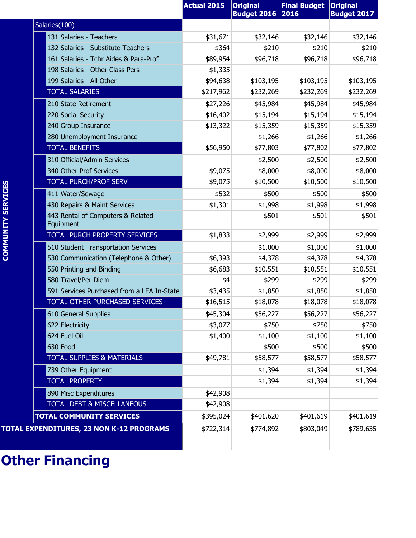|                           |                                                | <b>Actual 2015</b> | <b>Original</b><br><b>Budget 2016</b> | <b>Final Budget</b><br>2016 | <b>Original</b><br><b>Budget 2017</b> |
|---------------------------|------------------------------------------------|--------------------|---------------------------------------|-----------------------------|---------------------------------------|
|                           | Salaries(100)                                  |                    |                                       |                             |                                       |
|                           | 131 Salaries - Teachers                        | \$31,671           | \$32,146                              | \$32,146                    | \$32,146                              |
|                           | 132 Salaries - Substitute Teachers             | \$364              | \$210                                 | \$210                       | \$210                                 |
|                           | 161 Salaries - Tchr Aides & Para-Prof          | \$89,954           | \$96,718                              | \$96,718                    | \$96,718                              |
|                           | 198 Salaries - Other Class Pers                | \$1,335            |                                       |                             |                                       |
|                           | 199 Salaries - All Other                       | \$94,638           | \$103,195                             | \$103,195                   | \$103,195                             |
|                           | <b>TOTAL SALARIES</b>                          | \$217,962          | \$232,269                             | \$232,269                   | \$232,269                             |
|                           | 210 State Retirement                           | \$27,226           | \$45,984                              | \$45,984                    | \$45,984                              |
|                           | 220 Social Security                            | \$16,402           | \$15,194                              | \$15,194                    | \$15,194                              |
|                           | 240 Group Insurance                            | \$13,322           | \$15,359                              | \$15,359                    | \$15,359                              |
|                           | 280 Unemployment Insurance                     |                    | \$1,266                               | \$1,266                     | \$1,266                               |
|                           | <b>TOTAL BENEFITS</b>                          | \$56,950           | \$77,803                              | \$77,802                    | \$77,802                              |
|                           | 310 Official/Admin Services                    |                    | \$2,500                               | \$2,500                     | \$2,500                               |
|                           | 340 Other Prof Services                        | \$9,075            | \$8,000                               | \$8,000                     | \$8,000                               |
|                           | <b>TOTAL PURCH/PROF SERV</b>                   | \$9,075            | \$10,500                              | \$10,500                    | \$10,500                              |
|                           | 411 Water/Sewage                               | \$532              | \$500                                 | \$500                       | \$500                                 |
|                           | 430 Repairs & Maint Services                   | \$1,301            | \$1,998                               | \$1,998                     | \$1,998                               |
| <b>COMMUNITY SERVICES</b> | 443 Rental of Computers & Related<br>Equipment |                    | \$501                                 | \$501                       | \$501                                 |
|                           | TOTAL PURCH PROPERTY SERVICES                  | \$1,833            | \$2,999                               | \$2,999                     | \$2,999                               |
|                           | 510 Student Transportation Services            |                    | \$1,000                               | \$1,000                     | \$1,000                               |
|                           | 530 Communication (Telephone & Other)          | \$6,393            | \$4,378                               | \$4,378                     | \$4,378                               |
|                           | 550 Printing and Binding                       | \$6,683            | \$10,551                              | \$10,551                    | \$10,551                              |
|                           | 580 Travel/Per Diem                            | \$4                | \$299                                 | \$299                       | \$299                                 |
|                           | 591 Services Purchased from a LEA In-State     | \$3,435            | \$1,850                               | \$1,850                     | \$1,850                               |
|                           | TOTAL OTHER PURCHASED SERVICES                 | \$16,515           | \$18,078                              | \$18,078                    | \$18,078                              |
|                           | 610 General Supplies                           | \$45,304           | \$56,227                              | \$56,227                    | \$56,227                              |
|                           | 622 Electricity                                | \$3,077            | \$750                                 | \$750                       | \$750                                 |
|                           | 624 Fuel Oil                                   | \$1,400            | \$1,100                               | \$1,100                     | \$1,100                               |
|                           | 630 Food                                       |                    | \$500                                 | \$500                       | \$500                                 |
|                           | <b>TOTAL SUPPLIES &amp; MATERIALS</b>          | \$49,781           | \$58,577                              | \$58,577                    | \$58,577                              |
|                           | 739 Other Equipment                            |                    | \$1,394                               | \$1,394                     | \$1,394                               |
|                           | <b>TOTAL PROPERTY</b>                          |                    | \$1,394                               | \$1,394                     | \$1,394                               |
|                           | 890 Misc Expenditures                          | \$42,908           |                                       |                             |                                       |
|                           | TOTAL DEBT & MISCELLANEOUS                     | \$42,908           |                                       |                             |                                       |
|                           | <b>TOTAL COMMUNITY SERVICES</b>                | \$395,024          | \$401,620                             | \$401,619                   | \$401,619                             |
|                           | TOTAL EXPENDITURES, 23 NON K-12 PROGRAMS       | \$722,314          | \$774,892                             | \$803,049                   | \$789,635                             |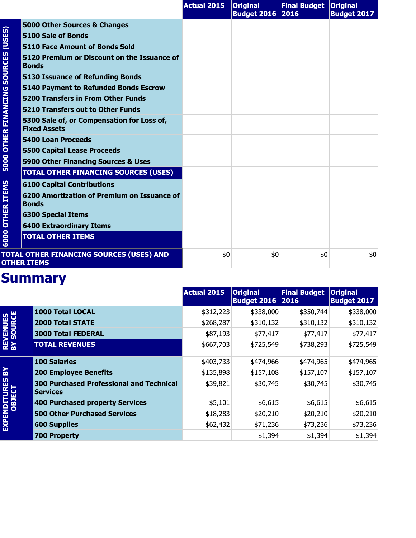|                             |                                                                   | <b>Actual 2015</b> | <b>Original</b><br><b>Budget 2016 2016</b> | Final Budget   Original | <b>Budget 2017</b> |
|-----------------------------|-------------------------------------------------------------------|--------------------|--------------------------------------------|-------------------------|--------------------|
|                             | 5000 Other Sources & Changes                                      |                    |                                            |                         |                    |
| (USES)                      | 5100 Sale of Bonds                                                |                    |                                            |                         |                    |
|                             | 5110 Face Amount of Bonds Sold                                    |                    |                                            |                         |                    |
| <b>SOURCES</b>              | 5120 Premium or Discount on the Issuance of<br><b>Bonds</b>       |                    |                                            |                         |                    |
|                             | <b>5130 Issuance of Refunding Bonds</b>                           |                    |                                            |                         |                    |
|                             | <b>5140 Payment to Refunded Bonds Escrow</b>                      |                    |                                            |                         |                    |
|                             | <b>5200 Transfers in From Other Funds</b>                         |                    |                                            |                         |                    |
|                             | 5210 Transfers out to Other Funds                                 |                    |                                            |                         |                    |
| <b>5000 OTHER FINANCING</b> | 5300 Sale of, or Compensation for Loss of,<br><b>Fixed Assets</b> |                    |                                            |                         |                    |
|                             | <b>5400 Loan Proceeds</b>                                         |                    |                                            |                         |                    |
|                             | <b>5500 Capital Lease Proceeds</b>                                |                    |                                            |                         |                    |
|                             | 5900 Other Financing Sources & Uses                               |                    |                                            |                         |                    |
|                             | <b>TOTAL OTHER FINANCING SOURCES (USES)</b>                       |                    |                                            |                         |                    |
|                             | <b>6100 Capital Contributions</b>                                 |                    |                                            |                         |                    |
| <b>OTHER ITEMS</b>          | 6200 Amortization of Premium on Issuance of<br><b>Bonds</b>       |                    |                                            |                         |                    |
|                             | <b>6300 Special Items</b>                                         |                    |                                            |                         |                    |
|                             | <b>6400 Extraordinary Items</b>                                   |                    |                                            |                         |                    |
| 6000                        | <b>TOTAL OTHER ITEMS</b>                                          |                    |                                            |                         |                    |
|                             | TOTAL OTHER FINANCING SOURCES (USES) AND<br><b>OTHER ITEMS</b>    | \$0                | \$0                                        | \$0                     | \$0                |

|                               |                                                                    | <b>Actual 2015</b> | <b>Original</b><br><b>Budget 2016 2016</b> | <b>Final Budget</b> | <b>Original</b><br><b>Budget 2017</b> |
|-------------------------------|--------------------------------------------------------------------|--------------------|--------------------------------------------|---------------------|---------------------------------------|
|                               | <b>1000 Total LOCAL</b>                                            | \$312,223          | \$338,000                                  | \$350,744           | \$338,000                             |
|                               | <b>2000 Total STATE</b>                                            | \$268,287          | \$310,132                                  | \$310,132           | \$310,132                             |
|                               | <b>3000 Total FEDERAL</b>                                          | \$87,193           | \$77,417                                   | \$77,417            | \$77,417                              |
| <b>REVENUES<br/>BY SOURCE</b> | <b>TOTAL REVENUES</b>                                              | \$667,703          | \$725,549                                  | \$738,293           | \$725,549                             |
|                               | <b>100 Salaries</b>                                                | \$403,733          | \$474,966                                  | \$474,965           | \$474,965                             |
| <u> 영</u>                     | <b>200 Employee Benefits</b>                                       | \$135,898          | \$157,108                                  | \$157,107           | \$157,107                             |
| EXPENDITURES<br>OBJECT        | <b>300 Purchased Professional and Technical</b><br><b>Services</b> | \$39,821           | \$30,745                                   | \$30,745            | \$30,745                              |
|                               | <b>400 Purchased property Services</b>                             | \$5,101            | \$6,615                                    | \$6,615             | \$6,615                               |
|                               | <b>500 Other Purchased Services</b>                                | \$18,283           | \$20,210                                   | \$20,210            | \$20,210                              |
|                               | <b>600 Supplies</b>                                                | \$62,432           | \$71,236                                   | \$73,236            | \$73,236                              |
|                               | <b>700 Property</b>                                                |                    | \$1,394                                    | \$1,394             | \$1,394                               |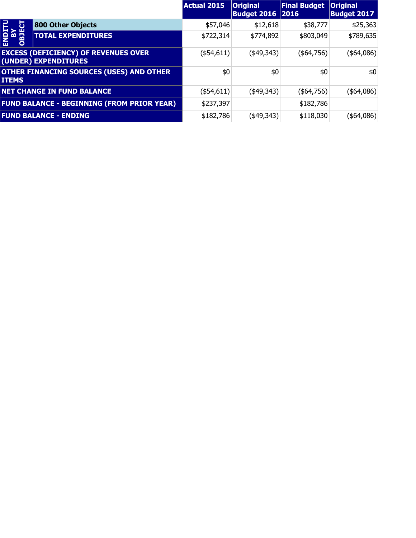|                               |                                                                     | <b>Actual 2015</b> | <b>Original</b><br><b>Budget 2016 2016</b> | <b>Final Budget</b> | <b>Original</b><br><b>Budget 2017</b> |
|-------------------------------|---------------------------------------------------------------------|--------------------|--------------------------------------------|---------------------|---------------------------------------|
|                               | <b>800 Other Objects</b>                                            | \$57,046           | \$12,618                                   | \$38,777            | \$25,363                              |
| ENDIT<br><b>AR</b><br>Ag<br>O | <b>TOTAL EXPENDITURES</b>                                           | \$722,314          | \$774,892                                  | \$803,049           | \$789,635                             |
|                               | <b>EXCESS (DEFICIENCY) OF REVENUES OVER</b><br>(UNDER) EXPENDITURES | ( \$54, 611)       | $(*49,343)$                                | $($ \$64,756) $ $   | ( \$64,086)                           |
| <b>ITEMS</b>                  | <b>OTHER FINANCING SOURCES (USES) AND OTHER</b>                     | \$0                | \$0                                        | \$0                 | \$0                                   |
|                               | <b>NET CHANGE IN FUND BALANCE</b>                                   | $($ \$54,611) $ $  | $(*49,343)$                                | (\$64,756)          | (\$4,086)                             |
|                               | <b>FUND BALANCE - BEGINNING (FROM PRIOR YEAR)</b>                   | \$237,397          |                                            | \$182,786           |                                       |
|                               | <b>FUND BALANCE - ENDING</b>                                        | \$182,786          | (\$49,343)                                 | \$118,030           | (\$64,086)                            |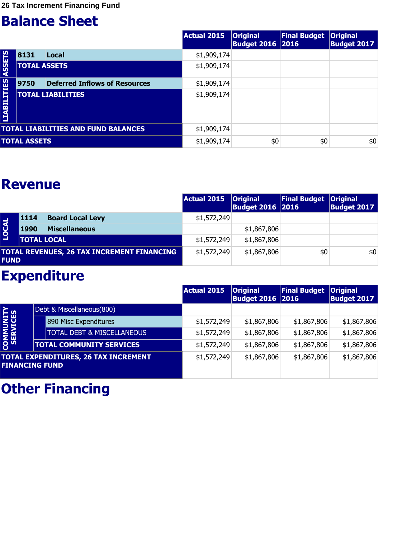|                    |                     |                                            | Actual 2015 | <b>Original</b><br><b>Budget 2016   2016</b> | <b>Final Budget</b> | <b>Original</b><br><b>Budget 2017</b> |
|--------------------|---------------------|--------------------------------------------|-------------|----------------------------------------------|---------------------|---------------------------------------|
|                    | 8131                | Local                                      | \$1,909,174 |                                              |                     |                                       |
| <b>ASSETS</b>      |                     | <b>TOTAL ASSETS</b>                        | \$1,909,174 |                                              |                     |                                       |
|                    | 9750                | <b>Deferred Inflows of Resources</b>       | \$1,909,174 |                                              |                     |                                       |
| <b>LIABILITIES</b> |                     | <b>TOTAL LIABILITIES</b>                   | \$1,909,174 |                                              |                     |                                       |
|                    |                     | <b>TOTAL LIABILITIES AND FUND BALANCES</b> | \$1,909,174 |                                              |                     |                                       |
|                    | <b>TOTAL ASSETS</b> |                                            | \$1,909,174 | \$0                                          | \$0                 | \$0                                   |

#### **Revenue**

|              |      |                                            | Actual 2015 | $ $ Original<br><b>Budget 2016 2016</b> | <b>Final Budget Original</b> | <b>Budget 2017</b> |
|--------------|------|--------------------------------------------|-------------|-----------------------------------------|------------------------------|--------------------|
|              | 1114 | <b>Board Local Levy</b>                    | \$1,572,249 |                                         |                              |                    |
| <b>LOCAL</b> | 1990 | <b>Miscellaneous</b>                       |             | \$1,867,806                             |                              |                    |
|              |      | <b>TOTAL LOCAL</b>                         | \$1,572,249 | \$1,867,806                             |                              |                    |
| <b>FUND</b>  |      | TOTAL REVENUES, 26 TAX INCREMENT FINANCING | \$1,572,249 | \$1,867,806                             | \$0                          | \$0                |

#### **Expenditure**

|                               |                                             | <b>Actual 2015</b> | <b>Original</b><br><b>Budget 2016   2016</b> | <b>Final Budget</b> | <b>Original</b><br><b>Budget 2017</b> |
|-------------------------------|---------------------------------------------|--------------------|----------------------------------------------|---------------------|---------------------------------------|
|                               | Debt & Miscellaneous(800)                   |                    |                                              |                     |                                       |
|                               | 890 Misc Expenditures                       | \$1,572,249        | \$1,867,806                                  | \$1,867,806         | \$1,867,806                           |
|                               | <b>TOTAL DEBT &amp; MISCELLANEOUS</b>       | \$1,572,249        | \$1,867,806                                  | \$1,867,806         | \$1,867,806                           |
| <b>COMMUNITY<br/>SERVICES</b> | <b>TOTAL COMMUNITY SERVICES</b>             | \$1,572,249        | \$1,867,806                                  | \$1,867,806         | \$1,867,806                           |
| <b>FINANCING FUND</b>         | <b>TOTAL EXPENDITURES, 26 TAX INCREMENT</b> | \$1,572,249        | \$1,867,806                                  | \$1,867,806         | \$1,867,806                           |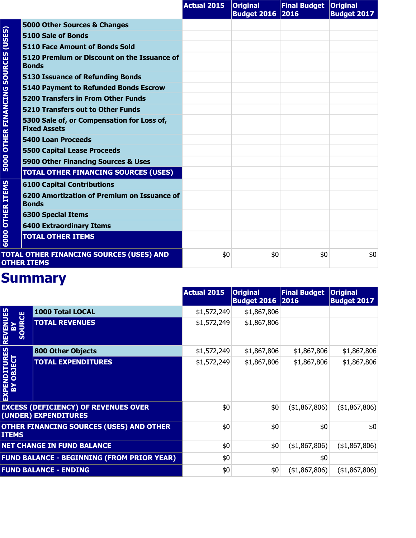|                                     |                                                                   | <b>Actual 2015</b> | <b>Original</b><br><b>Budget 2016 2016</b> | Final Budget   Original | <b>Budget 2017</b> |
|-------------------------------------|-------------------------------------------------------------------|--------------------|--------------------------------------------|-------------------------|--------------------|
|                                     | 5000 Other Sources & Changes                                      |                    |                                            |                         |                    |
| (USES)                              | 5100 Sale of Bonds                                                |                    |                                            |                         |                    |
|                                     | <b>5110 Face Amount of Bonds Sold</b>                             |                    |                                            |                         |                    |
|                                     | 5120 Premium or Discount on the Issuance of<br><b>Bonds</b>       |                    |                                            |                         |                    |
|                                     | <b>5130 Issuance of Refunding Bonds</b>                           |                    |                                            |                         |                    |
| <b>5000 OTHER FINANCING SOURCES</b> | <b>5140 Payment to Refunded Bonds Escrow</b>                      |                    |                                            |                         |                    |
|                                     | <b>5200 Transfers in From Other Funds</b>                         |                    |                                            |                         |                    |
|                                     | 5210 Transfers out to Other Funds                                 |                    |                                            |                         |                    |
|                                     | 5300 Sale of, or Compensation for Loss of,<br><b>Fixed Assets</b> |                    |                                            |                         |                    |
|                                     | <b>5400 Loan Proceeds</b>                                         |                    |                                            |                         |                    |
|                                     | <b>5500 Capital Lease Proceeds</b>                                |                    |                                            |                         |                    |
|                                     | 5900 Other Financing Sources & Uses                               |                    |                                            |                         |                    |
|                                     | <b>TOTAL OTHER FINANCING SOURCES (USES)</b>                       |                    |                                            |                         |                    |
|                                     | <b>6100 Capital Contributions</b>                                 |                    |                                            |                         |                    |
| <b>OTHER ITEMS</b>                  | 6200 Amortization of Premium on Issuance of<br><b>Bonds</b>       |                    |                                            |                         |                    |
|                                     | <b>6300 Special Items</b>                                         |                    |                                            |                         |                    |
|                                     | <b>6400 Extraordinary Items</b>                                   |                    |                                            |                         |                    |
| 6000                                | <b>TOTAL OTHER ITEMS</b>                                          |                    |                                            |                         |                    |
|                                     | TOTAL OTHER FINANCING SOURCES (USES) AND<br><b>OTHER ITEMS</b>    | \$0                | \$0                                        | \$0                     | \$0                |

|                                                 |                                                                     | <b>Actual 2015</b> | <b>Original</b><br><b>Budget 2016   2016</b> | <b>Final Budget</b> | <b>Original</b><br><b>Budget 2017</b> |
|-------------------------------------------------|---------------------------------------------------------------------|--------------------|----------------------------------------------|---------------------|---------------------------------------|
|                                                 | 1000 Total LOCAL                                                    | \$1,572,249        | \$1,867,806                                  |                     |                                       |
| <b>REVENUES</b><br><b>RCE</b><br>$\overline{S}$ | <b>TOTAL REVENUES</b>                                               | \$1,572,249        | \$1,867,806                                  |                     |                                       |
|                                                 | <b>800 Other Objects</b>                                            | \$1,572,249        | \$1,867,806                                  | \$1,867,806         | \$1,867,806                           |
| <b>EXPENDITURES<br/>BY OBJECT</b>               | <b>TOTAL EXPENDITURES</b>                                           | \$1,572,249        | \$1,867,806                                  | \$1,867,806         | \$1,867,806                           |
|                                                 | <b>EXCESS (DEFICIENCY) OF REVENUES OVER</b><br>(UNDER) EXPENDITURES | \$0                | \$0                                          | (\$1,867,806)       | ( \$1,867,806)                        |
| <b>ITEMS</b>                                    | OTHER FINANCING SOURCES (USES) AND OTHER                            | \$0                | \$0                                          | \$0                 | \$0                                   |
|                                                 | <b>NET CHANGE IN FUND BALANCE</b>                                   | \$0                | \$0                                          | (41,867,806)        | (\$1,867,806)                         |
|                                                 | <b>FUND BALANCE - BEGINNING (FROM PRIOR YEAR)</b>                   | \$0                |                                              | \$0                 |                                       |
|                                                 | <b>FUND BALANCE - ENDING</b>                                        | \$0                | \$0                                          | ( \$1,867,806)      | (\$1,867,806)                         |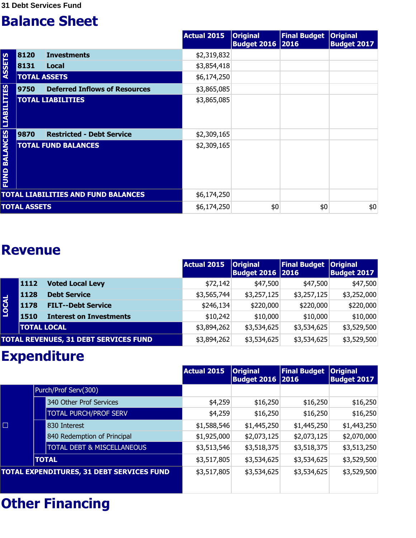|                                  |                     |                                            | <b>Actual 2015</b> | <b>Original</b><br><b>Budget 2016 2016</b> | <b>Final Budget</b> | <b>Original</b><br><b>Budget 2017</b> |
|----------------------------------|---------------------|--------------------------------------------|--------------------|--------------------------------------------|---------------------|---------------------------------------|
|                                  | 8120                | <b>Investments</b>                         | \$2,319,832        |                                            |                     |                                       |
| <b>ASSETS</b>                    | 8131                | Local                                      | \$3,854,418        |                                            |                     |                                       |
|                                  | <b>TOTAL ASSETS</b> |                                            | \$6,174,250        |                                            |                     |                                       |
|                                  | 9750                | <b>Deferred Inflows of Resources</b>       | \$3,865,085        |                                            |                     |                                       |
|                                  |                     | <b>TOTAL LIABILITIES</b>                   | \$3,865,085        |                                            |                     |                                       |
|                                  | 9870                | <b>Restricted - Debt Service</b>           | \$2,309,165        |                                            |                     |                                       |
| <b>FUND BALANCES LIABILITIES</b> |                     | <b>TOTAL FUND BALANCES</b>                 | \$2,309,165        |                                            |                     |                                       |
|                                  |                     | <b>TOTAL LIABILITIES AND FUND BALANCES</b> | \$6,174,250        |                                            |                     |                                       |
|                                  | <b>TOTAL ASSETS</b> |                                            | \$6,174,250        | \$0                                        | \$0                 | \$0                                   |

#### **Revenue**

|              |                    |                                              | Actual 2015 | <b>Original</b><br><b>Budget 2016   2016</b> | <b>Final Budget</b> | <b>Original</b><br><b>Budget 2017</b> |
|--------------|--------------------|----------------------------------------------|-------------|----------------------------------------------|---------------------|---------------------------------------|
|              | 1112               | <b>Voted Local Levy</b>                      | \$72,142    | \$47,500                                     | \$47,500            | \$47,500                              |
|              | 1128               | <b>Debt Service</b>                          | \$3,565,744 | \$3,257,125                                  | \$3,257,125         | \$3,252,000                           |
| <b>LOCAL</b> | 1178               | <b>FILT--Debt Service</b>                    | \$246,134   | \$220,000                                    | \$220,000           | \$220,000                             |
|              | 1510               | <b>Interest on Investments</b>               | \$10,242    | \$10,000                                     | \$10,000            | \$10,000                              |
|              | <b>TOTAL LOCAL</b> |                                              | \$3,894,262 | \$3,534,625                                  | \$3,534,625         | \$3,529,500                           |
|              |                    | <b>TOTAL REVENUES, 31 DEBT SERVICES FUND</b> | \$3,894,262 | \$3,534,625                                  | \$3,534,625         | \$3,529,500                           |

## **Expenditure**

|        |                                           | Actual 2015 | <b>Original</b><br><b>Budget 2016   2016</b> | <b>Final Budget</b> | <b>Original</b><br><b>Budget 2017</b> |
|--------|-------------------------------------------|-------------|----------------------------------------------|---------------------|---------------------------------------|
|        | Purch/Prof Serv(300)                      |             |                                              |                     |                                       |
|        | 340 Other Prof Services                   | \$4,259     | \$16,250                                     | \$16,250            | \$16,250                              |
|        | <b>TOTAL PURCH/PROF SERV</b>              | \$4,259     | \$16,250                                     | \$16,250            | \$16,250                              |
| $\Box$ | 830 Interest                              | \$1,588,546 | \$1,445,250                                  | \$1,445,250         | \$1,443,250                           |
|        | 840 Redemption of Principal               | \$1,925,000 | \$2,073,125                                  | \$2,073,125         | \$2,070,000                           |
|        | <b>TOTAL DEBT &amp; MISCELLANEOUS</b>     | \$3,513,546 | \$3,518,375                                  | \$3,518,375         | \$3,513,250                           |
|        | <b>TOTAL</b>                              | \$3,517,805 | \$3,534,625                                  | \$3,534,625         | \$3,529,500                           |
|        | TOTAL EXPENDITURES, 31 DEBT SERVICES FUND | \$3,517,805 | \$3,534,625                                  | \$3,534,625         | \$3,529,500                           |
|        |                                           |             |                                              |                     |                                       |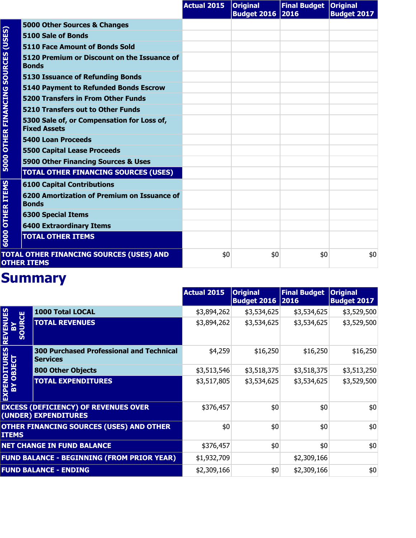|                             |                                                                   | <b>Actual 2015</b> | <b>Original</b><br><b>Budget 2016 2016</b> | Final Budget   Original | <b>Budget 2017</b> |
|-----------------------------|-------------------------------------------------------------------|--------------------|--------------------------------------------|-------------------------|--------------------|
| (USES)                      | 5000 Other Sources & Changes                                      |                    |                                            |                         |                    |
|                             | 5100 Sale of Bonds                                                |                    |                                            |                         |                    |
|                             | 5110 Face Amount of Bonds Sold                                    |                    |                                            |                         |                    |
| <b>SOURCES</b>              | 5120 Premium or Discount on the Issuance of<br><b>Bonds</b>       |                    |                                            |                         |                    |
|                             | <b>5130 Issuance of Refunding Bonds</b>                           |                    |                                            |                         |                    |
| <b>5000 OTHER FINANCING</b> | <b>5140 Payment to Refunded Bonds Escrow</b>                      |                    |                                            |                         |                    |
|                             | <b>5200 Transfers in From Other Funds</b>                         |                    |                                            |                         |                    |
|                             | 5210 Transfers out to Other Funds                                 |                    |                                            |                         |                    |
|                             | 5300 Sale of, or Compensation for Loss of,<br><b>Fixed Assets</b> |                    |                                            |                         |                    |
|                             | <b>5400 Loan Proceeds</b>                                         |                    |                                            |                         |                    |
|                             | <b>5500 Capital Lease Proceeds</b>                                |                    |                                            |                         |                    |
|                             | 5900 Other Financing Sources & Uses                               |                    |                                            |                         |                    |
|                             | <b>TOTAL OTHER FINANCING SOURCES (USES)</b>                       |                    |                                            |                         |                    |
|                             | <b>6100 Capital Contributions</b>                                 |                    |                                            |                         |                    |
| <b>OTHER ITEMS</b>          | 6200 Amortization of Premium on Issuance of<br><b>Bonds</b>       |                    |                                            |                         |                    |
|                             | <b>6300 Special Items</b>                                         |                    |                                            |                         |                    |
|                             | <b>6400 Extraordinary Items</b>                                   |                    |                                            |                         |                    |
| 6000                        | <b>TOTAL OTHER ITEMS</b>                                          |                    |                                            |                         |                    |
|                             | TOTAL OTHER FINANCING SOURCES (USES) AND<br><b>OTHER ITEMS</b>    | \$0                | \$0                                        | \$0                     | \$0                |

|                                   |                                                                     | <b>Actual 2015</b> | <b>Original</b><br><b>Budget 2016 2016</b> | <b>Final Budget</b> | <b>Original</b><br><b>Budget 2017</b> |
|-----------------------------------|---------------------------------------------------------------------|--------------------|--------------------------------------------|---------------------|---------------------------------------|
| <b>NUES</b>                       | <b>1000 Total LOCAL</b>                                             | \$3,894,262        | \$3,534,625                                | \$3,534,625         | \$3,529,500                           |
| <b>RCE</b><br><b>REVEI</b><br>SOU | <b>TOTAL REVENUES</b>                                               | \$3,894,262        | \$3,534,625                                | \$3,534,625         | \$3,529,500                           |
|                                   | <b>300 Purchased Professional and Technical</b><br><b>Services</b>  | \$4,259            | \$16,250                                   | \$16,250            | \$16,250                              |
|                                   | <b>800 Other Objects</b>                                            | \$3,513,546        | \$3,518,375                                | \$3,518,375         | \$3,513,250                           |
| <b>EXPENDITURES<br/>BY OBJECT</b> | <b>TOTAL EXPENDITURES</b>                                           | \$3,517,805        | \$3,534,625                                | \$3,534,625         | \$3,529,500                           |
|                                   | <b>EXCESS (DEFICIENCY) OF REVENUES OVER</b><br>(UNDER) EXPENDITURES | \$376,457          | \$0                                        | \$0                 | \$0                                   |
| <b>ITEMS</b>                      | <b>OTHER FINANCING SOURCES (USES) AND OTHER</b>                     | \$0                | \$0                                        | \$0                 | \$0                                   |
|                                   | <b>NET CHANGE IN FUND BALANCE</b>                                   | \$376,457          | \$0                                        | \$0                 | \$0                                   |
|                                   | <b>FUND BALANCE - BEGINNING (FROM PRIOR YEAR)</b>                   | \$1,932,709        |                                            | \$2,309,166         |                                       |
|                                   | <b>FUND BALANCE - ENDING</b>                                        | \$2,309,166        | \$0                                        | \$2,309,166         | \$0                                   |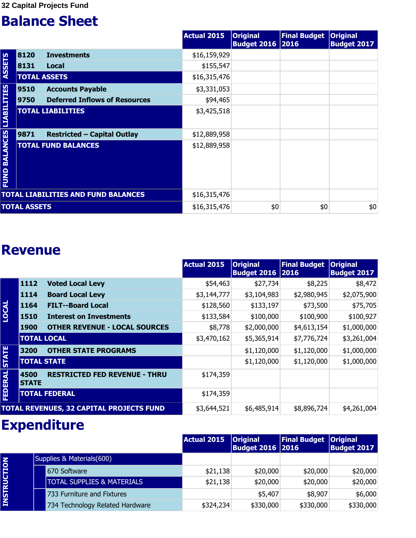|                                  |                     |                                            | Actual 2015  | <b>Original</b><br><b>Budget 2016 2016</b> | <b>Final Budget</b> | <b>Original</b><br><b>Budget 2017</b> |
|----------------------------------|---------------------|--------------------------------------------|--------------|--------------------------------------------|---------------------|---------------------------------------|
|                                  | 8120                | <b>Investments</b>                         | \$16,159,929 |                                            |                     |                                       |
| <b>ASSETS</b>                    | 8131                | Local                                      | \$155,547    |                                            |                     |                                       |
|                                  | <b>TOTAL ASSETS</b> |                                            | \$16,315,476 |                                            |                     |                                       |
|                                  | 9510                | <b>Accounts Payable</b>                    | \$3,331,053  |                                            |                     |                                       |
|                                  | 9750                | <b>Deferred Inflows of Resources</b>       | \$94,465     |                                            |                     |                                       |
|                                  |                     | <b>TOTAL LIABILITIES</b>                   | \$3,425,518  |                                            |                     |                                       |
|                                  | 9871                | <b>Restricted - Capital Outlay</b>         | \$12,889,958 |                                            |                     |                                       |
| <b>FUND BALANCES LIABILITIES</b> |                     | <b>TOTAL FUND BALANCES</b>                 | \$12,889,958 |                                            |                     |                                       |
|                                  |                     | <b>TOTAL LIABILITIES AND FUND BALANCES</b> | \$16,315,476 |                                            |                     |                                       |
|                                  | <b>TOTAL ASSETS</b> |                                            | \$16,315,476 | \$0                                        | \$0                 | \$0                                   |

#### **Revenue**

|              |                      |                                          | <b>Actual 2015</b> | <b>Original</b><br><b>Budget 2016 2016</b> | <b>Final Budget</b> | <b>Original</b><br><b>Budget 2017</b> |
|--------------|----------------------|------------------------------------------|--------------------|--------------------------------------------|---------------------|---------------------------------------|
|              | 1112                 | <b>Voted Local Levy</b>                  | \$54,463           | \$27,734                                   | \$8,225             | \$8,472                               |
|              | 1114                 | <b>Board Local Levy</b>                  | \$3,144,777        | \$3,104,983                                | \$2,980,945         | \$2,075,900                           |
|              | 1164                 | <b>FILT--Board Local</b>                 | \$128,560          | \$133,197                                  | \$73,500            | \$75,705                              |
| <b>LOCAL</b> | 1510                 | <b>Interest on Investments</b>           | \$133,584          | \$100,000                                  | \$100,900           | \$100,927                             |
|              | <b>1900</b>          | <b>OTHER REVENUE - LOCAL SOURCES</b>     | \$8,778            | \$2,000,000                                | \$4,613,154         | \$1,000,000                           |
|              | <b>TOTAL LOCAL</b>   |                                          | \$3,470,162        | \$5,365,914                                | \$7,776,724         | \$3,261,004                           |
|              | 3200                 | <b>OTHER STATE PROGRAMS</b>              |                    | \$1,120,000                                | \$1,120,000         | \$1,000,000                           |
| <b>STATE</b> | <b>TOTAL STATE</b>   |                                          |                    | \$1,120,000                                | \$1,120,000         | \$1,000,000                           |
| FEDERAL      | 4500<br><b>STATE</b> | <b>RESTRICTED FED REVENUE - THRU</b>     | \$174,359          |                                            |                     |                                       |
|              |                      | <b>TOTAL FEDERAL</b>                     | \$174,359          |                                            |                     |                                       |
|              |                      | TOTAL REVENUES, 32 CAPITAL PROJECTS FUND | \$3,644,521        | \$6,485,914                                | \$8,896,724         | \$4,261,004                           |

## **Expenditure**

|                    |                                       | Actual 2015 | <b>Original</b><br><b>Budget 2016 2016</b> | <b>Final Budget</b> | <b>Original</b><br><b>Budget 2017</b> |
|--------------------|---------------------------------------|-------------|--------------------------------------------|---------------------|---------------------------------------|
|                    | Supplies & Materials(600)             |             |                                            |                     |                                       |
| <b>INSTRUCTION</b> | 670 Software                          | \$21,138    | \$20,000                                   | \$20,000            | \$20,000                              |
|                    | <b>TOTAL SUPPLIES &amp; MATERIALS</b> | \$21,138    | \$20,000                                   | \$20,000            | \$20,000                              |
|                    | 733 Furniture and Fixtures            |             | \$5,407                                    | \$8,907             | \$6,000                               |
|                    | 734 Technology Related Hardware       | \$324,234   | \$330,000                                  | \$330,000           | \$330,000                             |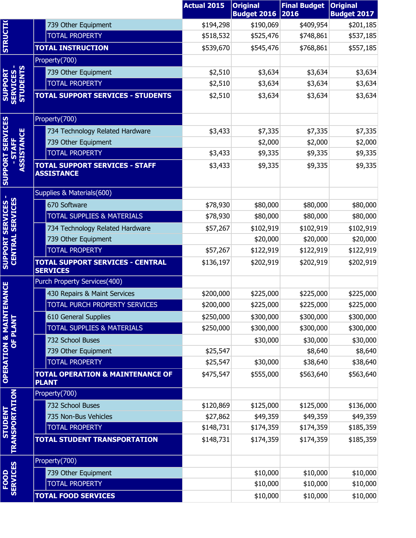|                                            |                                                             | <b>Actual 2015</b> | <b>Original</b>                 | <b>Final Budget</b><br>2016 | <b>Original</b>                 |
|--------------------------------------------|-------------------------------------------------------------|--------------------|---------------------------------|-----------------------------|---------------------------------|
|                                            | 739 Other Equipment                                         | \$194,298          | <b>Budget 2016</b><br>\$190,069 | \$409,954                   | <b>Budget 2017</b><br>\$201,185 |
|                                            | <b>TOTAL PROPERTY</b>                                       | \$518,532          | \$525,476                       | \$748,861                   | \$537,185                       |
| <b>STRUCTI(</b>                            | <b>TOTAL INSTRUCTION</b>                                    | \$539,670          | \$545,476                       | \$768,861                   | \$557,185                       |
|                                            | Property(700)                                               |                    |                                 |                             |                                 |
|                                            | 739 Other Equipment                                         | \$2,510            | \$3,634                         | \$3,634                     | \$3,634                         |
|                                            | <b>TOTAL PROPERTY</b>                                       | \$2,510            | \$3,634                         | \$3,634                     | \$3,634                         |
| <b>SUPPORT<br/>SERVICES -<br/>STUDENTS</b> | <b>TOTAL SUPPORT SERVICES - STUDENTS</b>                    | \$2,510            | \$3,634                         | \$3,634                     | \$3,634                         |
|                                            | Property(700)                                               |                    |                                 |                             |                                 |
|                                            | 734 Technology Related Hardware                             | \$3,433            | \$7,335                         | \$7,335                     | \$7,335                         |
| <b>SERVICES</b>                            | 739 Other Equipment                                         |                    | \$2,000                         | \$2,000                     | \$2,000                         |
| <b>ASSISTANCE</b>                          | <b>TOTAL PROPERTY</b>                                       | \$3,433            | \$9,335                         | \$9,335                     | \$9,335                         |
| <b>SUPPORT</b>                             | <b>TOTAL SUPPORT SERVICES - STAFF</b><br><b>ASSISTANCE</b>  | \$3,433            | \$9,335                         | \$9,335                     | \$9,335                         |
|                                            | Supplies & Materials(600)                                   |                    |                                 |                             |                                 |
| <b>CENTRAL SERVICES</b>                    | 670 Software                                                | \$78,930           | \$80,000                        | \$80,000                    | \$80,000                        |
|                                            | <b>TOTAL SUPPLIES &amp; MATERIALS</b>                       | \$78,930           | \$80,000                        | \$80,000                    | \$80,000                        |
|                                            | 734 Technology Related Hardware                             | \$57,267           | \$102,919                       | \$102,919                   | \$102,919                       |
|                                            | 739 Other Equipment                                         |                    | \$20,000                        | \$20,000                    | \$20,000                        |
|                                            | <b>TOTAL PROPERTY</b>                                       | \$57,267           | \$122,919                       | \$122,919                   | \$122,919                       |
| <b>SUPPORT SERVICES</b>                    | <b>TOTAL SUPPORT SERVICES - CENTRAL</b><br><b>SERVICES</b>  | \$136,197          | \$202,919                       | \$202,919                   | \$202,919                       |
|                                            | Purch Property Services(400)                                |                    |                                 |                             |                                 |
| <b>NANCE</b>                               | 430 Repairs & Maint Services                                | \$200,000          | \$225,000                       | \$225,000                   | \$225,000                       |
|                                            | TOTAL PURCH PROPERTY SERVICES                               | \$200,000          | \$225,000                       | \$225,000                   | \$225,000                       |
|                                            | 610 General Supplies                                        | \$250,000          | \$300,000                       | \$300,000                   | \$300,000                       |
|                                            | <b>TOTAL SUPPLIES &amp; MATERIALS</b>                       | \$250,000          | \$300,000                       | \$300,000                   | \$300,000                       |
|                                            | 732 School Buses                                            |                    | \$30,000                        | \$30,000                    | \$30,000                        |
|                                            | 739 Other Equipment                                         | \$25,547           |                                 | \$8,640                     | \$8,640                         |
|                                            | <b>TOTAL PROPERTY</b>                                       | \$25,547           | \$30,000                        | \$38,640                    | \$38,640                        |
| <b>OPERATION &amp; MAINTE</b><br>OF PLANT  | <b>TOTAL OPERATION &amp; MAINTENANCE OF</b><br><b>PLANT</b> | \$475,547          | \$555,000                       | \$563,640                   | \$563,640                       |
|                                            | Property(700)                                               |                    |                                 |                             |                                 |
|                                            | 732 School Buses                                            | \$120,869          | \$125,000                       | \$125,000                   | \$136,000                       |
|                                            | 735 Non-Bus Vehicles                                        | \$27,862           | \$49,359                        | \$49,359                    | \$49,359                        |
|                                            | <b>TOTAL PROPERTY</b>                                       | \$148,731          | \$174,359                       | \$174,359                   | \$185,359                       |
| <b>STUDENT<br/>TRANSPORTATION</b>          | <b>TOTAL STUDENT TRANSPORTATION</b>                         | \$148,731          | \$174,359                       | \$174,359                   | \$185,359                       |
|                                            | Property(700)                                               |                    |                                 |                             |                                 |
|                                            | 739 Other Equipment                                         |                    | \$10,000                        | \$10,000                    | \$10,000                        |
| FOOD<br>SERVICES                           | <b>TOTAL PROPERTY</b>                                       |                    | \$10,000                        | \$10,000                    | \$10,000                        |
|                                            | <b>TOTAL FOOD SERVICES</b>                                  |                    | \$10,000                        | \$10,000                    | \$10,000                        |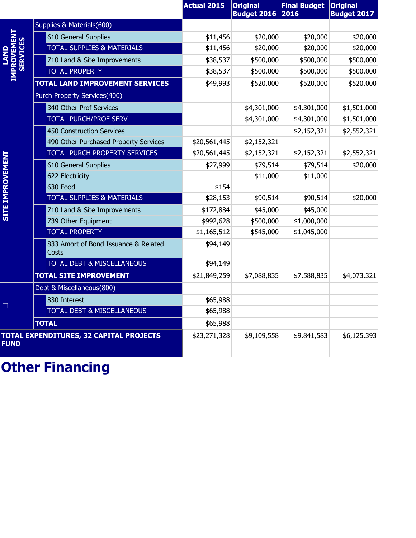|                                 |                                                | <b>Actual 2015</b> | <b>Original</b><br><b>Budget 2016</b> | <b>Final Budget</b><br>2016 | <b>Original</b><br><b>Budget 2017</b> |
|---------------------------------|------------------------------------------------|--------------------|---------------------------------------|-----------------------------|---------------------------------------|
|                                 | Supplies & Materials(600)                      |                    |                                       |                             |                                       |
|                                 | 610 General Supplies                           | \$11,456           | \$20,000                              | \$20,000                    | \$20,000                              |
|                                 | <b>TOTAL SUPPLIES &amp; MATERIALS</b>          | \$11,456           | \$20,000                              | \$20,000                    | \$20,000                              |
| <b>IMPROVEMENT<br/>SERVICES</b> | 710 Land & Site Improvements                   | \$38,537           | \$500,000                             | \$500,000                   | \$500,000                             |
|                                 | <b>TOTAL PROPERTY</b>                          | \$38,537           | \$500,000                             | \$500,000                   | \$500,000                             |
|                                 | <b>TOTAL LAND IMPROVEMENT SERVICES</b>         | \$49,993           | \$520,000                             | \$520,000                   | \$520,000                             |
|                                 | Purch Property Services(400)                   |                    |                                       |                             |                                       |
|                                 | 340 Other Prof Services                        |                    | \$4,301,000                           | \$4,301,000                 | \$1,501,000                           |
|                                 | <b>TOTAL PURCH/PROF SERV</b>                   |                    | \$4,301,000                           | \$4,301,000                 | \$1,501,000                           |
|                                 | 450 Construction Services                      |                    |                                       | \$2,152,321                 | \$2,552,321                           |
|                                 | 490 Other Purchased Property Services          | \$20,561,445       | \$2,152,321                           |                             |                                       |
|                                 | TOTAL PURCH PROPERTY SERVICES                  | \$20,561,445       | \$2,152,321                           | \$2,152,321                 | \$2,552,321                           |
| <b>SITE IMPROVEMENT</b>         | 610 General Supplies                           | \$27,999           | \$79,514                              | \$79,514                    | \$20,000                              |
|                                 | 622 Electricity                                |                    | \$11,000                              | \$11,000                    |                                       |
|                                 | 630 Food                                       | \$154              |                                       |                             |                                       |
|                                 | <b>TOTAL SUPPLIES &amp; MATERIALS</b>          | \$28,153           | \$90,514                              | \$90,514                    | \$20,000                              |
|                                 | 710 Land & Site Improvements                   | \$172,884          | \$45,000                              | \$45,000                    |                                       |
|                                 | 739 Other Equipment                            | \$992,628          | \$500,000                             | \$1,000,000                 |                                       |
|                                 | <b>TOTAL PROPERTY</b>                          | \$1,165,512        | \$545,000                             | \$1,045,000                 |                                       |
|                                 | 833 Amort of Bond Issuance & Related<br>Costs  | \$94,149           |                                       |                             |                                       |
|                                 | <b>TOTAL DEBT &amp; MISCELLANEOUS</b>          | \$94,149           |                                       |                             |                                       |
|                                 | <b>TOTAL SITE IMPROVEMENT</b>                  | \$21,849,259       | \$7,088,835                           | \$7,588,835                 | \$4,073,321                           |
|                                 | Debt & Miscellaneous(800)                      |                    |                                       |                             |                                       |
| □                               | 830 Interest                                   | \$65,988           |                                       |                             |                                       |
|                                 | TOTAL DEBT & MISCELLANEOUS                     | \$65,988           |                                       |                             |                                       |
|                                 | <b>TOTAL</b>                                   | \$65,988           |                                       |                             |                                       |
| <b>FUND</b>                     | <b>TOTAL EXPENDITURES, 32 CAPITAL PROJECTS</b> | \$23,271,328       | \$9,109,558                           | \$9,841,583                 | \$6,125,393                           |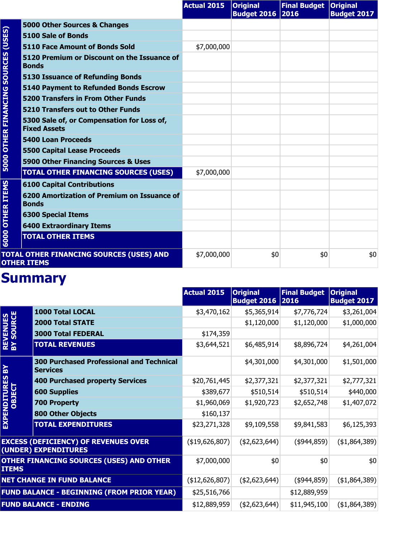|                         |                                                                   | <b>Actual 2015</b> | <b>Original</b><br><b>Budget 2016 2016</b> | Final Budget   Original | <b>Budget 2017</b> |
|-------------------------|-------------------------------------------------------------------|--------------------|--------------------------------------------|-------------------------|--------------------|
|                         | 5000 Other Sources & Changes                                      |                    |                                            |                         |                    |
| (USES)                  | 5100 Sale of Bonds                                                |                    |                                            |                         |                    |
|                         | <b>5110 Face Amount of Bonds Sold</b>                             | \$7,000,000        |                                            |                         |                    |
|                         | 5120 Premium or Discount on the Issuance of<br><b>Bonds</b>       |                    |                                            |                         |                    |
|                         | <b>5130 Issuance of Refunding Bonds</b>                           |                    |                                            |                         |                    |
|                         | <b>5140 Payment to Refunded Bonds Escrow</b>                      |                    |                                            |                         |                    |
|                         | <b>5200 Transfers in From Other Funds</b>                         |                    |                                            |                         |                    |
|                         | <b>5210 Transfers out to Other Funds</b>                          |                    |                                            |                         |                    |
| OTHER FINANCING SOURCES | 5300 Sale of, or Compensation for Loss of,<br><b>Fixed Assets</b> |                    |                                            |                         |                    |
|                         | <b>5400 Loan Proceeds</b>                                         |                    |                                            |                         |                    |
|                         | <b>5500 Capital Lease Proceeds</b>                                |                    |                                            |                         |                    |
| 5000                    | 5900 Other Financing Sources & Uses                               |                    |                                            |                         |                    |
|                         | <b>TOTAL OTHER FINANCING SOURCES (USES)</b>                       | \$7,000,000        |                                            |                         |                    |
|                         | <b>6100 Capital Contributions</b>                                 |                    |                                            |                         |                    |
| <b>OTHER ITEMS</b>      | 6200 Amortization of Premium on Issuance of<br><b>Bonds</b>       |                    |                                            |                         |                    |
|                         | <b>6300 Special Items</b>                                         |                    |                                            |                         |                    |
|                         | <b>6400 Extraordinary Items</b>                                   |                    |                                            |                         |                    |
| 6000                    | <b>TOTAL OTHER ITEMS</b>                                          |                    |                                            |                         |                    |
|                         | TOTAL OTHER FINANCING SOURCES (USES) AND<br><b>OTHER ITEMS</b>    | \$7,000,000        | \$0                                        | \$0                     | \$0                |

|                               |                                                                     | <b>Actual 2015</b>    | <b>Original</b><br><b>Budget 2016 2016</b> | <b>Final Budget</b> | <b>Original</b><br><b>Budget 2017</b> |
|-------------------------------|---------------------------------------------------------------------|-----------------------|--------------------------------------------|---------------------|---------------------------------------|
|                               | 1000 Total LOCAL                                                    | \$3,470,162           | \$5,365,914                                | \$7,776,724         | \$3,261,004                           |
|                               | <b>2000 Total STATE</b>                                             |                       | \$1,120,000                                | \$1,120,000         | \$1,000,000                           |
|                               | <b>3000 Total FEDERAL</b>                                           | \$174,359             |                                            |                     |                                       |
| <b>REVENUES<br/>BY SOURCE</b> | <b>TOTAL REVENUES</b>                                               | \$3,644,521           | \$6,485,914                                | \$8,896,724         | \$4,261,004                           |
| $\mathbf{R}$                  | <b>300 Purchased Professional and Technical</b><br><b>Services</b>  |                       | \$4,301,000                                | \$4,301,000         | \$1,501,000                           |
| EXPENDITURES<br>OBJECT        | <b>400 Purchased property Services</b>                              | \$20,761,445          | \$2,377,321                                | \$2,377,321         | \$2,777,321                           |
|                               | <b>600 Supplies</b>                                                 | \$389,677             | \$510,514                                  | \$510,514           | \$440,000                             |
|                               | <b>700 Property</b>                                                 | \$1,960,069           | \$1,920,723                                | \$2,652,748         | \$1,407,072                           |
|                               | <b>800 Other Objects</b>                                            | \$160,137             |                                            |                     |                                       |
|                               | <b>TOTAL EXPENDITURES</b>                                           | \$23,271,328          | \$9,109,558                                | \$9,841,583         | \$6,125,393                           |
|                               | <b>EXCESS (DEFICIENCY) OF REVENUES OVER</b><br>(UNDER) EXPENDITURES | $($ \$19,626,807) $ $ | (42,623,644)                               | $($ \$944,859) $ $  | ( \$1,864,389)                        |
| <b>ITEMS</b>                  | <b>OTHER FINANCING SOURCES (USES) AND OTHER</b>                     | \$7,000,000           | \$0                                        | \$0                 | \$0                                   |
|                               | <b>NET CHANGE IN FUND BALANCE</b>                                   | ( \$12,626,807)       | (42,623,644)                               | $($ \$944,859) $ $  | (41,864,389)                          |
|                               | <b>FUND BALANCE - BEGINNING (FROM PRIOR YEAR)</b>                   | \$25,516,766          |                                            | \$12,889,959        |                                       |
|                               | <b>FUND BALANCE - ENDING</b>                                        | \$12,889,959          | (42,623,644)                               | \$11,945,100        | (\$1,864,389)                         |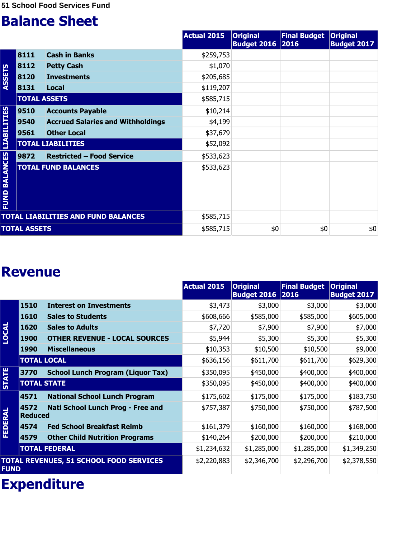|                                  |                     |                                            | <b>Actual 2015</b> | <b>Original</b><br><b>Budget 2016 2016</b> | <b>Final Budget</b> | <b>Original</b><br><b>Budget 2017</b> |
|----------------------------------|---------------------|--------------------------------------------|--------------------|--------------------------------------------|---------------------|---------------------------------------|
|                                  | 8111                | <b>Cash in Banks</b>                       | \$259,753          |                                            |                     |                                       |
|                                  | 8112                | <b>Petty Cash</b>                          | \$1,070            |                                            |                     |                                       |
| <b>ASSETS</b>                    | 8120                | <b>Investments</b>                         | \$205,685          |                                            |                     |                                       |
|                                  | 8131                | Local                                      | \$119,207          |                                            |                     |                                       |
|                                  | <b>TOTAL ASSETS</b> |                                            | \$585,715          |                                            |                     |                                       |
|                                  | 9510                | <b>Accounts Payable</b>                    | \$10,214           |                                            |                     |                                       |
|                                  | 9540                | <b>Accrued Salaries and Withholdings</b>   | \$4,199            |                                            |                     |                                       |
|                                  | 9561                | <b>Other Local</b>                         | \$37,679           |                                            |                     |                                       |
|                                  |                     | <b>TOTAL LIABILITIES</b>                   | \$52,092           |                                            |                     |                                       |
|                                  | 9872                | <b>Restricted - Food Service</b>           | \$533,623          |                                            |                     |                                       |
| <b>FUND BALANCES LIABILITIES</b> |                     | <b>TOTAL FUND BALANCES</b>                 | \$533,623          |                                            |                     |                                       |
|                                  |                     | <b>TOTAL LIABILITIES AND FUND BALANCES</b> | \$585,715          |                                            |                     |                                       |
|                                  | <b>TOTAL ASSETS</b> |                                            | \$585,715          | \$0                                        | \$0                 | \$0                                   |

#### **Revenue**

|                |                        |                                                | <b>Actual 2015</b> | <b>Original</b><br>Budget 2016 2016 | <b>Final Budget</b> | <b>Original</b><br><b>Budget 2017</b> |
|----------------|------------------------|------------------------------------------------|--------------------|-------------------------------------|---------------------|---------------------------------------|
|                | 1510                   | <b>Interest on Investments</b>                 | \$3,473            | \$3,000                             | \$3,000             | \$3,000                               |
|                | 1610                   | <b>Sales to Students</b>                       | \$608,666          | \$585,000                           | \$585,000           | \$605,000                             |
|                | 1620                   | <b>Sales to Adults</b>                         | \$7,720            | \$7,900                             | \$7,900             | \$7,000                               |
| <b>LOCAL</b>   | <b>1900</b>            | <b>OTHER REVENUE - LOCAL SOURCES</b>           | \$5,944            | \$5,300                             | \$5,300             | \$5,300                               |
|                | <b>1990</b>            | <b>Miscellaneous</b>                           | \$10,353           | \$10,500                            | \$10,500            | \$9,000                               |
|                | <b>TOTAL LOCAL</b>     |                                                | \$636,156          | \$611,700                           | \$611,700           | \$629,300                             |
|                | 3770                   | <b>School Lunch Program (Liquor Tax)</b>       | \$350,095          | \$450,000                           | \$400,000           | \$400,000                             |
| <b>STATE</b>   | <b>TOTAL STATE</b>     |                                                | \$350,095          | \$450,000                           | \$400,000           | \$400,000                             |
|                | 4571                   | <b>National School Lunch Program</b>           | \$175,602          | \$175,000                           | \$175,000           | \$183,750                             |
| <b>FEDERAL</b> | 4572<br><b>Reduced</b> | Natl School Lunch Prog - Free and              | \$757,387          | \$750,000                           | \$750,000           | \$787,500                             |
|                | 4574                   | <b>Fed School Breakfast Reimb</b>              | \$161,379          | \$160,000                           | \$160,000           | \$168,000                             |
|                | 4579                   | <b>Other Child Nutrition Programs</b>          | \$140,264          | \$200,000                           | \$200,000           | \$210,000                             |
|                |                        | <b>TOTAL FEDERAL</b>                           | \$1,234,632        | \$1,285,000                         | \$1,285,000         | \$1,349,250                           |
| <b>FUND</b>    |                        | <b>TOTAL REVENUES, 51 SCHOOL FOOD SERVICES</b> | \$2,220,883        | \$2,346,700                         | \$2,296,700         | \$2,378,550                           |

## **Expenditure**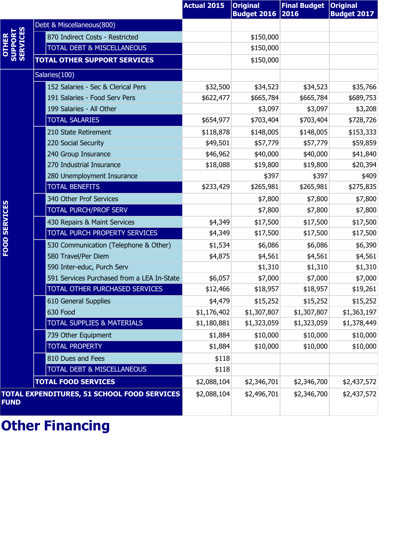|                                       |                                             | <b>Actual 2015</b> | <b>Original</b><br><b>Budget 2016</b> | <b>Final Budget</b><br>2016 | <b>Original</b><br><b>Budget 2017</b> |
|---------------------------------------|---------------------------------------------|--------------------|---------------------------------------|-----------------------------|---------------------------------------|
|                                       | Debt & Miscellaneous(800)                   |                    |                                       |                             |                                       |
| <b>OTHER<br/>SUPPORT<br/>SERVICES</b> | 870 Indirect Costs - Restricted             |                    | \$150,000                             |                             |                                       |
|                                       | <b>TOTAL DEBT &amp; MISCELLANEOUS</b>       |                    | \$150,000                             |                             |                                       |
|                                       | <b>TOTAL OTHER SUPPORT SERVICES</b>         |                    | \$150,000                             |                             |                                       |
|                                       | Salaries(100)                               |                    |                                       |                             |                                       |
|                                       | 152 Salaries - Sec & Clerical Pers          | \$32,500           | \$34,523                              | \$34,523                    | \$35,766                              |
|                                       | 191 Salaries - Food Serv Pers               | \$622,477          | \$665,784                             | \$665,784                   | \$689,753                             |
|                                       | 199 Salaries - All Other                    |                    | \$3,097                               | \$3,097                     | \$3,208                               |
|                                       | <b>TOTAL SALARIES</b>                       | \$654,977          | \$703,404                             | \$703,404                   | \$728,726                             |
|                                       | 210 State Retirement                        | \$118,878          | \$148,005                             | \$148,005                   | \$153,333                             |
|                                       | 220 Social Security                         | \$49,501           | \$57,779                              | \$57,779                    | \$59,859                              |
|                                       | 240 Group Insurance                         | \$46,962           | \$40,000                              | \$40,000                    | \$41,840                              |
|                                       | 270 Industrial Insurance                    | \$18,088           | \$19,800                              | \$19,800                    | \$20,394                              |
|                                       | 280 Unemployment Insurance                  |                    | \$397                                 | \$397                       | \$409                                 |
|                                       | <b>TOTAL BENEFITS</b>                       | \$233,429          | \$265,981                             | \$265,981                   | \$275,835                             |
|                                       | 340 Other Prof Services                     |                    | \$7,800                               | \$7,800                     | \$7,800                               |
| FOOD SERVICES                         | <b>TOTAL PURCH/PROF SERV</b>                |                    | \$7,800                               | \$7,800                     | \$7,800                               |
|                                       | 430 Repairs & Maint Services                | \$4,349            | \$17,500                              | \$17,500                    | \$17,500                              |
|                                       | TOTAL PURCH PROPERTY SERVICES               | \$4,349            | \$17,500                              | \$17,500                    | \$17,500                              |
|                                       | 530 Communication (Telephone & Other)       | \$1,534            | \$6,086                               | \$6,086                     | \$6,390                               |
|                                       | 580 Travel/Per Diem                         | \$4,875            | \$4,561                               | \$4,561                     | \$4,561                               |
|                                       | 590 Inter-educ, Purch Serv                  |                    | \$1,310                               | \$1,310                     | \$1,310                               |
|                                       | 591 Services Purchased from a LEA In-State  | \$6,057            | \$7,000                               | \$7,000                     | \$7,000                               |
|                                       | TOTAL OTHER PURCHASED SERVICES              | \$12,466           | \$18,957                              | \$18,957                    | \$19,261                              |
|                                       | 610 General Supplies                        | \$4,479            | \$15,252                              | \$15,252                    | \$15,252                              |
|                                       | 630 Food                                    | \$1,176,402        | \$1,307,807                           | \$1,307,807                 | \$1,363,197                           |
|                                       | <b>TOTAL SUPPLIES &amp; MATERIALS</b>       | \$1,180,881        | \$1,323,059                           | \$1,323,059                 | \$1,378,449                           |
|                                       | 739 Other Equipment                         | \$1,884            | \$10,000                              | \$10,000                    | \$10,000                              |
|                                       | <b>TOTAL PROPERTY</b>                       | \$1,884            | \$10,000                              | \$10,000                    | \$10,000                              |
|                                       | 810 Dues and Fees                           | \$118              |                                       |                             |                                       |
|                                       | <b>TOTAL DEBT &amp; MISCELLANEOUS</b>       | \$118              |                                       |                             |                                       |
|                                       | <b>TOTAL FOOD SERVICES</b>                  | \$2,088,104        | \$2,346,701                           | \$2,346,700                 | \$2,437,572                           |
| <b>FUND</b>                           | TOTAL EXPENDITURES, 51 SCHOOL FOOD SERVICES | \$2,088,104        | \$2,496,701                           | \$2,346,700                 | \$2,437,572                           |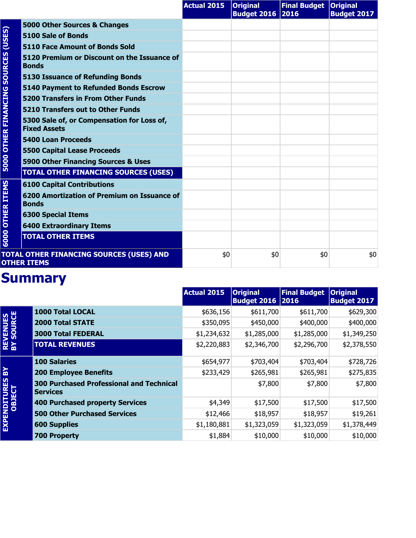|                                     |                                                                   | <b>Actual 2015</b> | <b>Original</b><br><b>Budget 2016 2016</b> | Final Budget   Original | <b>Budget 2017</b> |
|-------------------------------------|-------------------------------------------------------------------|--------------------|--------------------------------------------|-------------------------|--------------------|
|                                     | 5000 Other Sources & Changes                                      |                    |                                            |                         |                    |
| (USES)                              | 5100 Sale of Bonds                                                |                    |                                            |                         |                    |
|                                     | 5110 Face Amount of Bonds Sold                                    |                    |                                            |                         |                    |
| <b>5000 OTHER FINANCING SOURCES</b> | 5120 Premium or Discount on the Issuance of<br><b>Bonds</b>       |                    |                                            |                         |                    |
|                                     | <b>5130 Issuance of Refunding Bonds</b>                           |                    |                                            |                         |                    |
|                                     | <b>5140 Payment to Refunded Bonds Escrow</b>                      |                    |                                            |                         |                    |
|                                     | <b>5200 Transfers in From Other Funds</b>                         |                    |                                            |                         |                    |
|                                     | 5210 Transfers out to Other Funds                                 |                    |                                            |                         |                    |
|                                     | 5300 Sale of, or Compensation for Loss of,<br><b>Fixed Assets</b> |                    |                                            |                         |                    |
|                                     | <b>5400 Loan Proceeds</b>                                         |                    |                                            |                         |                    |
|                                     | <b>5500 Capital Lease Proceeds</b>                                |                    |                                            |                         |                    |
|                                     | 5900 Other Financing Sources & Uses                               |                    |                                            |                         |                    |
|                                     | <b>TOTAL OTHER FINANCING SOURCES (USES)</b>                       |                    |                                            |                         |                    |
|                                     | <b>6100 Capital Contributions</b>                                 |                    |                                            |                         |                    |
| <b>OTHER ITEMS</b>                  | 6200 Amortization of Premium on Issuance of<br><b>Bonds</b>       |                    |                                            |                         |                    |
|                                     | <b>6300 Special Items</b>                                         |                    |                                            |                         |                    |
|                                     | <b>6400 Extraordinary Items</b>                                   |                    |                                            |                         |                    |
| 6000                                | <b>TOTAL OTHER ITEMS</b>                                          |                    |                                            |                         |                    |
|                                     | TOTAL OTHER FINANCING SOURCES (USES) AND<br><b>OTHER ITEMS</b>    | \$0                | \$0                                        | \$0                     | \$0                |

|                               |                                                                    | <b>Actual 2015</b> | <b>Original</b><br><b>Budget 2016 2016</b> | <b>Final Budget</b> | <b>Original</b><br><b>Budget 2017</b> |
|-------------------------------|--------------------------------------------------------------------|--------------------|--------------------------------------------|---------------------|---------------------------------------|
|                               | <b>1000 Total LOCAL</b>                                            | \$636,156          | \$611,700                                  | \$611,700           | \$629,300                             |
|                               | <b>2000 Total STATE</b>                                            | \$350,095          | \$450,000                                  | \$400,000           | \$400,000                             |
|                               | <b>3000 Total FEDERAL</b>                                          | \$1,234,632        | \$1,285,000                                | \$1,285,000         | \$1,349,250                           |
| <b>REVENUES<br/>BY SOURCE</b> | <b>TOTAL REVENUES</b>                                              | \$2,220,883        | \$2,346,700                                | \$2,296,700         | \$2,378,550                           |
|                               | <b>100 Salaries</b>                                                | \$654,977          | \$703,404                                  | \$703,404           | \$728,726                             |
| ៜ                             | <b>200 Employee Benefits</b>                                       | \$233,429          | \$265,981                                  | \$265,981           | \$275,835                             |
| EXPENDITURES<br>OBJECT        | <b>300 Purchased Professional and Technical</b><br><b>Services</b> |                    | \$7,800                                    | \$7,800             | \$7,800                               |
|                               | 400 Purchased property Services                                    | \$4,349            | \$17,500                                   | \$17,500            | \$17,500                              |
|                               | <b>500 Other Purchased Services</b>                                | \$12,466           | \$18,957                                   | \$18,957            | \$19,261                              |
|                               | <b>600 Supplies</b>                                                | \$1,180,881        | \$1,323,059                                | \$1,323,059         | \$1,378,449                           |
|                               | <b>700 Property</b>                                                | \$1,884            | \$10,000                                   | \$10,000            | \$10,000                              |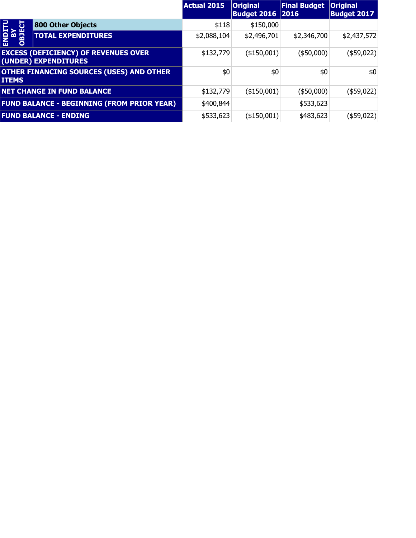|                             |                                                                     | Actual 2015 | <b>Original</b><br><b>Budget 2016 2016</b> | <b>Final Budget</b> | <b>Original</b><br><b>Budget 2017</b> |
|-----------------------------|---------------------------------------------------------------------|-------------|--------------------------------------------|---------------------|---------------------------------------|
|                             | <b>800 Other Objects</b>                                            | \$118       | \$150,000                                  |                     |                                       |
| <b>SIRO<br/>AS<br/>OBJE</b> | <b>TOTAL EXPENDITURES</b>                                           | \$2,088,104 | \$2,496,701                                | \$2,346,700         | \$2,437,572                           |
|                             | <b>EXCESS (DEFICIENCY) OF REVENUES OVER</b><br>(UNDER) EXPENDITURES | \$132,779   | (\$150,001)                                | $($ \$50,000) $ $   | $($ \$59,022) $ $                     |
| <b>ITEMS</b>                | <b>OTHER FINANCING SOURCES (USES) AND OTHER</b>                     | \$0         | \$0                                        | \$0                 | \$0                                   |
|                             | <b>NET CHANGE IN FUND BALANCE</b>                                   | \$132,779   | $($ \$150,001) $ $                         | $(*50,000)$         | $($ \$59,022) $ $                     |
|                             | <b>FUND BALANCE - BEGINNING (FROM PRIOR YEAR)</b>                   | \$400,844   |                                            | \$533,623           |                                       |
|                             | <b>FUND BALANCE - ENDING</b>                                        | \$533,623   | (\$150,001)                                | \$483,623           | (\$59,022)                            |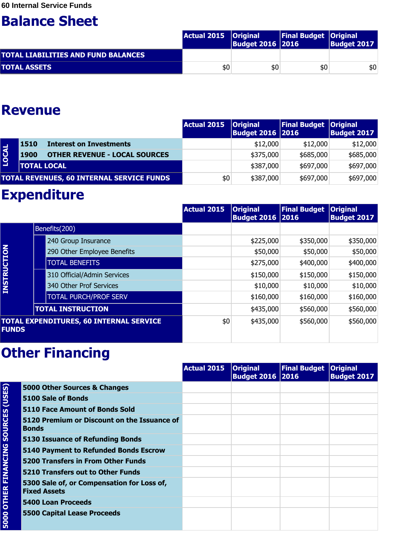|                                            | Actual 2015   Original | <b>Budget 2016 2016</b> | <b>Final Budget   Original</b> | <b>Budget 2017</b> |
|--------------------------------------------|------------------------|-------------------------|--------------------------------|--------------------|
| <b>TOTAL LIABILITIES AND FUND BALANCES</b> |                        |                         |                                |                    |
| <b>TOTAL ASSETS</b>                        | \$0                    | \$0                     | \$0                            | \$0                |

#### **Revenue**

|              |                    |                                                  | <b>Actual 2015</b> | <b>Original</b><br><b>Budget 2016   2016</b> | Final Budget Original | <b>Budget 2017</b> |
|--------------|--------------------|--------------------------------------------------|--------------------|----------------------------------------------|-----------------------|--------------------|
|              | 1510               | <b>Interest on Investments</b>                   |                    | \$12,000                                     | \$12,000              | \$12,000           |
| <b>LOCAL</b> | 1900               | <b>OTHER REVENUE - LOCAL SOURCES</b>             |                    | \$375,000                                    | \$685,000             | \$685,000          |
|              | <b>TOTAL LOCAL</b> |                                                  |                    | \$387,000                                    | \$697,000             | \$697,000          |
|              |                    | <b>TOTAL REVENUES, 60 INTERNAL SERVICE FUNDS</b> | \$0                | \$387,000                                    | \$697,000             | \$697,000          |

### **Expenditure**

|                    |                                                | <b>Actual 2015</b> | <b>Original</b><br><b>Budget 2016 2016</b> | <b>Final Budget</b> | <b>Original</b><br><b>Budget 2017</b> |
|--------------------|------------------------------------------------|--------------------|--------------------------------------------|---------------------|---------------------------------------|
|                    | Benefits(200)                                  |                    |                                            |                     |                                       |
|                    | 240 Group Insurance                            |                    | \$225,000                                  | \$350,000           | \$350,000                             |
|                    | 290 Other Employee Benefits                    |                    | \$50,000                                   | \$50,000            | \$50,000                              |
| <b>INSTRUCTION</b> | <b>TOTAL BENEFITS</b>                          |                    | \$275,000                                  | \$400,000           | \$400,000                             |
|                    | 310 Official/Admin Services                    |                    | \$150,000                                  | \$150,000           | \$150,000                             |
|                    | 340 Other Prof Services                        |                    | \$10,000                                   | \$10,000            | \$10,000                              |
|                    | <b>TOTAL PURCH/PROF SERV</b>                   |                    | \$160,000                                  | \$160,000           | \$160,000                             |
|                    | <b>TOTAL INSTRUCTION</b>                       |                    | \$435,000                                  | \$560,000           | \$560,000                             |
| <b>FUNDS</b>       | <b>TOTAL EXPENDITURES, 60 INTERNAL SERVICE</b> | \$0                | \$435,000                                  | \$560,000           | \$560,000                             |

|                        |                                                                   | <b>Actual 2015</b> | <b>Original</b><br>Budget 2016 2016 | <b>Final Budget Original</b> | <b>Budget 2017</b> |
|------------------------|-------------------------------------------------------------------|--------------------|-------------------------------------|------------------------------|--------------------|
| <b>SOURCES (USES)</b>  | 5000 Other Sources & Changes                                      |                    |                                     |                              |                    |
|                        | 5100 Sale of Bonds                                                |                    |                                     |                              |                    |
|                        | <b>5110 Face Amount of Bonds Sold</b>                             |                    |                                     |                              |                    |
|                        | 5120 Premium or Discount on the Issuance of<br><b>Bonds</b>       |                    |                                     |                              |                    |
|                        | <b>5130 Issuance of Refunding Bonds</b>                           |                    |                                     |                              |                    |
|                        | 5140 Payment to Refunded Bonds Escrow                             |                    |                                     |                              |                    |
|                        | <b>5200 Transfers in From Other Funds</b>                         |                    |                                     |                              |                    |
|                        | 5210 Transfers out to Other Funds                                 |                    |                                     |                              |                    |
| <b>OTHER FINANCING</b> | 5300 Sale of, or Compensation for Loss of,<br><b>Fixed Assets</b> |                    |                                     |                              |                    |
|                        | 5400 Loan Proceeds                                                |                    |                                     |                              |                    |
| 5000                   | <b>5500 Capital Lease Proceeds</b>                                |                    |                                     |                              |                    |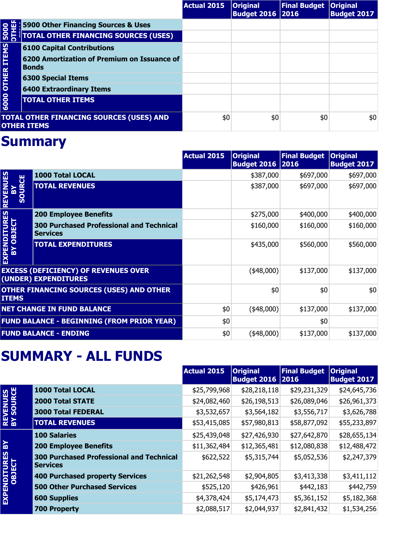|                                                                       |                                                             | <b>Actual 2015</b> | <b>Original</b><br><b>Budget 2016   2016</b> | Final Budget   Original | <b>Budget 2017</b> |
|-----------------------------------------------------------------------|-------------------------------------------------------------|--------------------|----------------------------------------------|-------------------------|--------------------|
| 5000<br><b>OUTR</b>                                                   | 5900 Other Financing Sources & Uses                         |                    |                                              |                         |                    |
|                                                                       | <b>TOTAL OTHER FINANCING SOURCES (USES)</b>                 |                    |                                              |                         |                    |
| <b>6000 OTHER ITEMS</b>                                               | <b>6100 Capital Contributions</b>                           |                    |                                              |                         |                    |
|                                                                       | 6200 Amortization of Premium on Issuance of<br><b>Bonds</b> |                    |                                              |                         |                    |
|                                                                       | <b>6300 Special Items</b>                                   |                    |                                              |                         |                    |
|                                                                       | <b>6400 Extraordinary Items</b>                             |                    |                                              |                         |                    |
|                                                                       | <b>TOTAL OTHER ITEMS</b>                                    |                    |                                              |                         |                    |
| <b>TOTAL OTHER FINANCING SOURCES (USES) AND</b><br><b>OTHER ITEMS</b> |                                                             | \$0                | \$0                                          | \$0                     | \$0                |

|                                                                     |                                                                    | Actual 2015 | <b>Original</b><br><b>Budget 2016 2016</b> | <b>Final Budget</b> | <b>Original</b><br><b>Budget 2017</b> |
|---------------------------------------------------------------------|--------------------------------------------------------------------|-------------|--------------------------------------------|---------------------|---------------------------------------|
| <b>REVENUES</b><br><b>SOURCE</b><br>줍                               | <b>1000 Total LOCAL</b>                                            |             | \$387,000                                  | \$697,000           | \$697,000                             |
|                                                                     | <b>TOTAL REVENUES</b>                                              |             | \$387,000                                  | \$697,000           | \$697,000                             |
|                                                                     | <b>200 Employee Benefits</b>                                       |             | \$275,000                                  | \$400,000           | \$400,000                             |
|                                                                     | <b>300 Purchased Professional and Technical</b><br><b>Services</b> |             | \$160,000                                  | \$160,000           | \$160,000                             |
| EXPENDITURES<br>BY OBJECT                                           | <b>TOTAL EXPENDITURES</b>                                          |             | \$435,000                                  | \$560,000           | \$560,000                             |
| <b>EXCESS (DEFICIENCY) OF REVENUES OVER</b><br>(UNDER) EXPENDITURES |                                                                    |             | $(*48,000)$                                | \$137,000           | \$137,000                             |
| <b>OTHER FINANCING SOURCES (USES) AND OTHER</b><br><b>ITEMS</b>     |                                                                    |             | \$0                                        | \$0                 | \$0                                   |
| <b>NET CHANGE IN FUND BALANCE</b>                                   |                                                                    | \$0         | $(*48,000)$                                | \$137,000           | \$137,000                             |
| <b>FUND BALANCE - BEGINNING (FROM PRIOR YEAR)</b>                   |                                                                    | \$0         |                                            | \$0                 |                                       |
| <b>FUND BALANCE - ENDING</b>                                        |                                                                    | \$0         | $(*48,000)$                                | \$137,000           | \$137,000                             |

#### **SUMMARY - ALL FUNDS**

|                               |                                                                    | <b>Actual 2015</b> | <b>Original</b><br><b>Budget 2016 2016</b> | <b>Final Budget</b> | <b>Original</b><br><b>Budget 2017</b> |
|-------------------------------|--------------------------------------------------------------------|--------------------|--------------------------------------------|---------------------|---------------------------------------|
|                               | 1000 Total LOCAL                                                   | \$25,799,968       | \$28,218,118                               | \$29,231,329        | \$24,645,736                          |
|                               | <b>2000 Total STATE</b>                                            | \$24,082,460       | \$26,198,513                               | \$26,089,046        | \$26,961,373                          |
| <b>REVENUES<br/>BY SOURCE</b> | <b>3000 Total FEDERAL</b>                                          | \$3,532,657        | \$3,564,182                                | \$3,556,717         | \$3,626,788                           |
|                               | <b>TOTAL REVENUES</b>                                              | \$53,415,085       | \$57,980,813                               | \$58,877,092        | \$55,233,897                          |
|                               | <b>100 Salaries</b>                                                | \$25,439,048       | \$27,426,930                               | \$27,642,870        | \$28,655,134                          |
| $\mathbf{R}$                  | <b>200 Employee Benefits</b>                                       | \$11,362,484       | \$12,365,481                               | \$12,080,838        | \$12,488,472                          |
| EXPENDITURES<br>OBJECT        | <b>300 Purchased Professional and Technical</b><br><b>Services</b> | \$622,522          | \$5,315,744                                | \$5,052,536         | \$2,247,379                           |
|                               | <b>400 Purchased property Services</b>                             | \$21,262,548       | \$2,904,805                                | \$3,413,338         | \$3,411,112                           |
|                               | <b>500 Other Purchased Services</b>                                | \$525,120          | \$426,961                                  | \$442,183           | \$442,759                             |
|                               | <b>600 Supplies</b>                                                | \$4,378,424        | \$5,174,473                                | \$5,361,152         | \$5,182,368                           |
|                               | <b>700 Property</b>                                                | \$2,088,517        | \$2,044,937                                | \$2,841,432         | \$1,534,256                           |